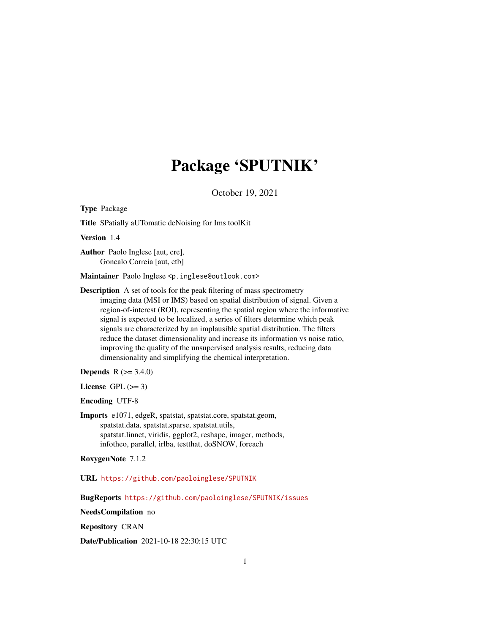# Package 'SPUTNIK'

October 19, 2021

<span id="page-0-0"></span>Type Package

Title SPatially aUTomatic deNoising for Ims toolKit

Version 1.4

Author Paolo Inglese [aut, cre], Goncalo Correia [aut, ctb]

Maintainer Paolo Inglese <p.inglese@outlook.com>

Description A set of tools for the peak filtering of mass spectrometry imaging data (MSI or IMS) based on spatial distribution of signal. Given a region-of-interest (ROI), representing the spatial region where the informative signal is expected to be localized, a series of filters determine which peak signals are characterized by an implausible spatial distribution. The filters reduce the dataset dimensionality and increase its information vs noise ratio, improving the quality of the unsupervised analysis results, reducing data dimensionality and simplifying the chemical interpretation.

**Depends**  $R (= 3.4.0)$ 

License GPL  $(>= 3)$ 

Encoding UTF-8

Imports e1071, edgeR, spatstat, spatstat.core, spatstat.geom, spatstat.data, spatstat.sparse, spatstat.utils, spatstat.linnet, viridis, ggplot2, reshape, imager, methods, infotheo, parallel, irlba, testthat, doSNOW, foreach

RoxygenNote 7.1.2

URL <https://github.com/paoloinglese/SPUTNIK>

BugReports <https://github.com/paoloinglese/SPUTNIK/issues>

NeedsCompilation no

Repository CRAN

Date/Publication 2021-10-18 22:30:15 UTC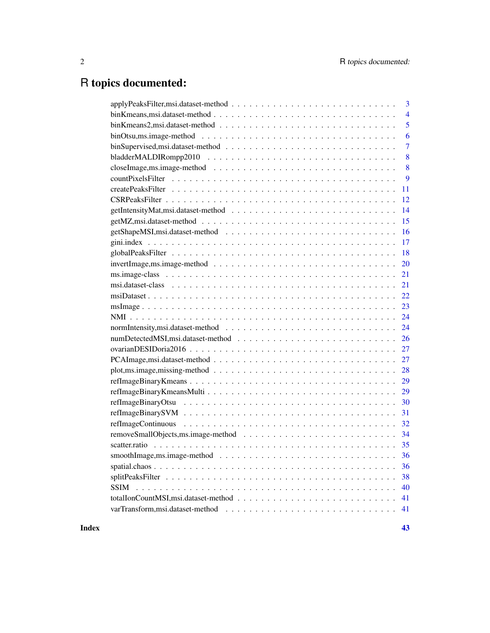# R topics documented:

| 3              |
|----------------|
| $\overline{4}$ |
| 5              |
| 6              |
| $\overline{7}$ |
| 8              |
| 8              |
| 9              |
| 11             |
| 12             |
| 14             |
| 15             |
| 16             |
| 17             |
| 18             |
| 20             |
| 21             |
| 21             |
| 22             |
| 23             |
| 24             |
| 24             |
| 26             |
| 27             |
| 27             |
| 28             |
| 29             |
| 29             |
| 30             |
| 31             |
| 32             |
| 34             |
| 35             |
| 36             |
| 36             |
| 38             |
| 40             |
| 41             |
|                |
|                |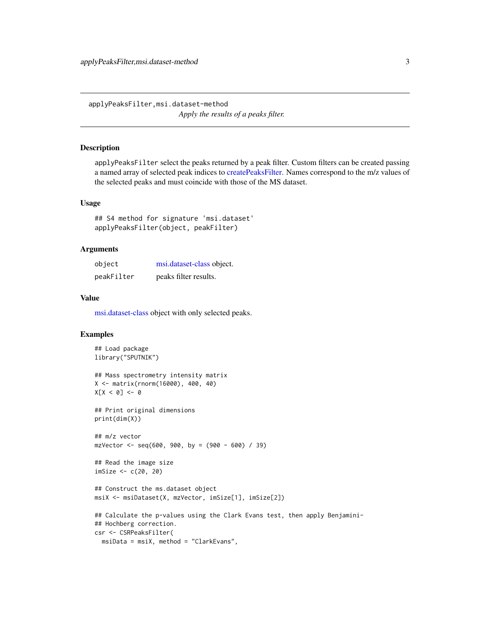<span id="page-2-0"></span>applyPeaksFilter,msi.dataset-method *Apply the results of a peaks filter.*

#### <span id="page-2-1"></span>Description

applyPeaksFilter select the peaks returned by a peak filter. Custom filters can be created passing a named array of selected peak indices to [createPeaksFilter.](#page-10-1) Names correspond to the m/z values of the selected peaks and must coincide with those of the MS dataset.

#### Usage

```
## S4 method for signature 'msi.dataset'
applyPeaksFilter(object, peakFilter)
```
#### Arguments

| object     | msi.dataset-class object. |
|------------|---------------------------|
| peakFilter | peaks filter results.     |

## Value

[msi.dataset-class](#page-20-1) object with only selected peaks.

```
## Load package
library("SPUTNIK")
## Mass spectrometry intensity matrix
X <- matrix(rnorm(16000), 400, 40)
X[X < 0] <- 0
## Print original dimensions
print(dim(X))
## m/z vector
mzVector < -seq(600, 900, by = (900 - 600) / 39)## Read the image size
imSize <- c(20, 20)
## Construct the ms.dataset object
msiX <- msiDataset(X, mzVector, imSize[1], imSize[2])
## Calculate the p-values using the Clark Evans test, then apply Benjamini-
## Hochberg correction.
csr <- CSRPeaksFilter(
  msiData = msiX, method = "ClarkEvans",
```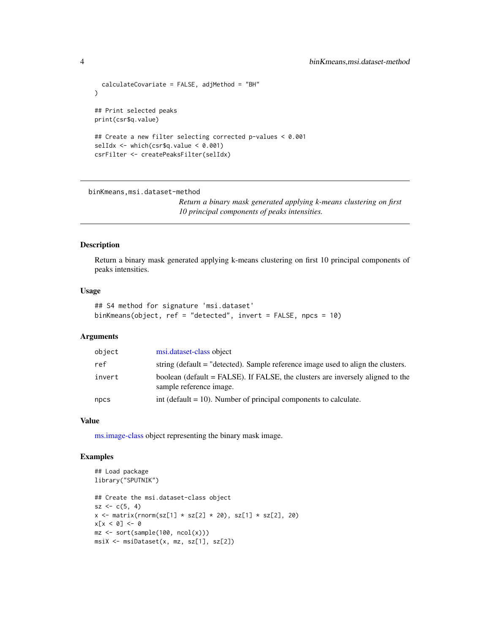```
calculateCovariate = FALSE, adjMethod = "BH"
\mathcal{L}## Print selected peaks
print(csr$q.value)
## Create a new filter selecting corrected p-values < 0.001
selIdx <- which(csr$q.value < 0.001)
csrFilter <- createPeaksFilter(selIdx)
```
binKmeans,msi.dataset-method

*Return a binary mask generated applying k-means clustering on first 10 principal components of peaks intensities.*

#### Description

Return a binary mask generated applying k-means clustering on first 10 principal components of peaks intensities.

#### Usage

```
## S4 method for signature 'msi.dataset'
binKmeans(object, ref = "detected", invert = FALSE, npcs = 10)
```
## Arguments

| object | msi.dataset-class object                                                                                  |
|--------|-----------------------------------------------------------------------------------------------------------|
| ref    | string (default = "detected). Sample reference image used to align the clusters.                          |
| invert | boolean (default = FALSE). If FALSE, the clusters are inversely aligned to the<br>sample reference image. |
| npcs   | int (default $= 10$ ). Number of principal components to calculate.                                       |

#### Value

[ms.image-class](#page-20-2) object representing the binary mask image.

```
## Load package
library("SPUTNIK")
## Create the msi.dataset-class object
sz < -c(5, 4)x \le matrix(rnorm(sz[1] * sz[2] * 20), sz[1] * sz[2], 20)
x[x < 0] <- 0
mz \le sort(sample(100, ncol(x)))
msiX <- msiDataset(x, mz, sz[1], sz[2])
```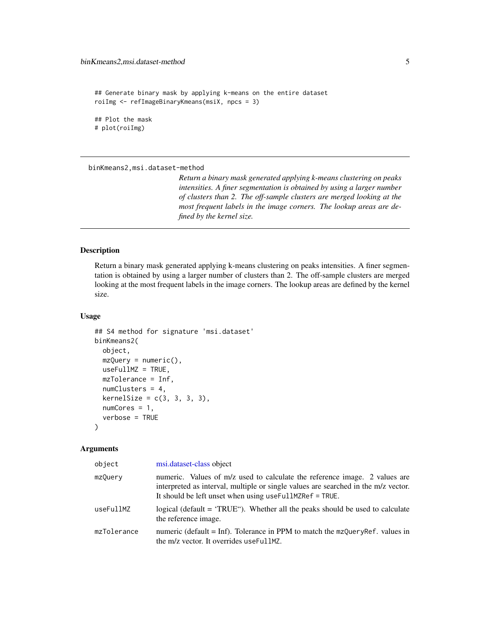```
## Generate binary mask by applying k-means on the entire dataset
roiImg <- refImageBinaryKmeans(msiX, npcs = 3)
## Plot the mask
# plot(roiImg)
```
binKmeans2,msi.dataset-method

*Return a binary mask generated applying k-means clustering on peaks intensities. A finer segmentation is obtained by using a larger number of clusters than 2. The off-sample clusters are merged looking at the most frequent labels in the image corners. The lookup areas are defined by the kernel size.*

# Description

Return a binary mask generated applying k-means clustering on peaks intensities. A finer segmentation is obtained by using a larger number of clusters than 2. The off-sample clusters are merged looking at the most frequent labels in the image corners. The lookup areas are defined by the kernel size.

#### Usage

```
## S4 method for signature 'msi.dataset'
binKmeans2(
  object,
 mzQuery = numeric(),
 useFullMZ = TRUE,
 mzTolerance = Inf,
 numClusters = 4,kernelSize = c(3, 3, 3, 3),numCores = 1,
  verbose = TRUE
)
```
## Arguments

| object      | msi.dataset-class object                                                                                                                                                                                                        |
|-------------|---------------------------------------------------------------------------------------------------------------------------------------------------------------------------------------------------------------------------------|
| mzQuery     | numeric. Values of m/z used to calculate the reference image. 2 values are<br>interpreted as interval, multiple or single values are searched in the m/z vector.<br>It should be left unset when using use Full MZRef $=$ TRUE. |
| useFullMZ   | logical (default = 'TRUE''). Whether all the peaks should be used to calculate<br>the reference image.                                                                                                                          |
| mzTolerance | numeric (default = Inf). Tolerance in PPM to match the $mzQueryRef.$ values in<br>the m/z vector. It overrides useFullMZ.                                                                                                       |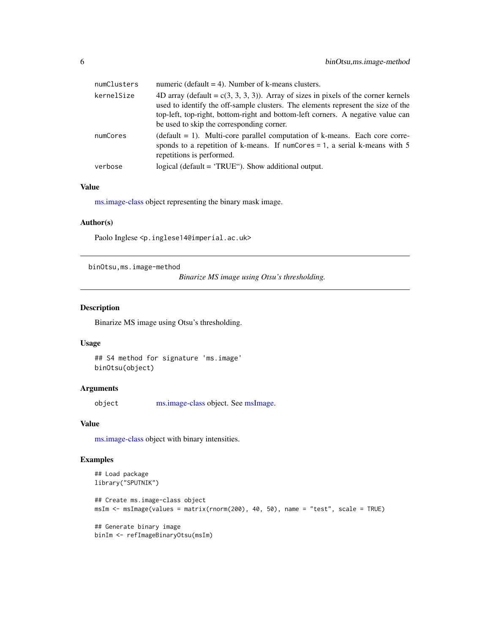<span id="page-5-0"></span>

| numClusters | numeric (default $=$ 4). Number of k-means clusters.                                                                                                                                                                                                                                                      |
|-------------|-----------------------------------------------------------------------------------------------------------------------------------------------------------------------------------------------------------------------------------------------------------------------------------------------------------|
| kernelSize  | 4D array (default = $c(3, 3, 3, 3)$ ). Array of sizes in pixels of the corner kernels<br>used to identify the off-sample clusters. The elements represent the size of the<br>top-left, top-right, bottom-right and bottom-left corners. A negative value can<br>be used to skip the corresponding corner. |
| numCores    | $(default = 1)$ . Multi-core parallel computation of k-means. Each core corre-<br>sponds to a repetition of k-means. If numCores = 1, a serial k-means with $5$<br>repetitions is performed.                                                                                                              |
| verbose     | logical (default = 'TRUE''). Show additional output.                                                                                                                                                                                                                                                      |

# Value

[ms.image-class](#page-20-2) object representing the binary mask image.

## Author(s)

Paolo Inglese <p.inglese14@imperial.ac.uk>

binOtsu,ms.image-method

*Binarize MS image using Otsu's thresholding.*

# Description

Binarize MS image using Otsu's thresholding.

## Usage

## S4 method for signature 'ms.image' binOtsu(object)

# Arguments

object [ms.image-class](#page-20-2) object. See [msImage.](#page-22-1)

#### Value

[ms.image-class](#page-20-2) object with binary intensities.

```
## Load package
library("SPUTNIK")
## Create ms.image-class object
msIm <- msImage(values = matrix(rnorm(200), 40, 50), name = "test", scale = TRUE)
## Generate binary image
binIm <- refImageBinaryOtsu(msIm)
```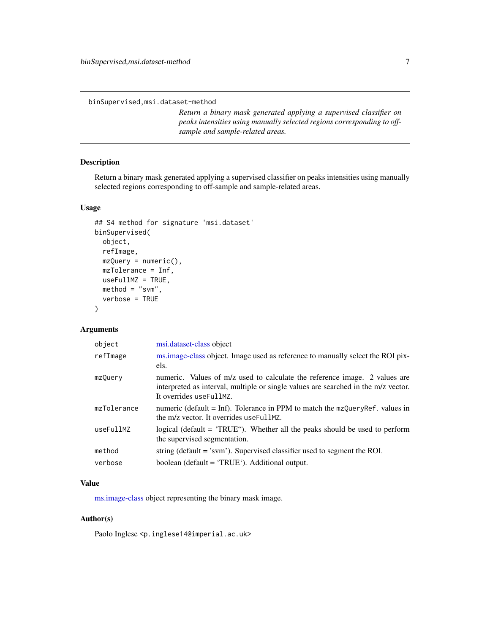<span id="page-6-0"></span>binSupervised,msi.dataset-method

*Return a binary mask generated applying a supervised classifier on peaks intensities using manually selected regions corresponding to offsample and sample-related areas.*

# Description

Return a binary mask generated applying a supervised classifier on peaks intensities using manually selected regions corresponding to off-sample and sample-related areas.

## Usage

```
## S4 method for signature 'msi.dataset'
binSupervised(
 object,
  refImage,
 mzQuery = numeric(),
 mzTolerance = Inf,
 useFullMZ = TRUE,
 method = "swm",verbose = TRUE
)
```
# Arguments

| object      | msi.dataset-class object                                                                                                                                                                    |
|-------------|---------------------------------------------------------------------------------------------------------------------------------------------------------------------------------------------|
| refImage    | ms.image-class object. Image used as reference to manually select the ROI pix-<br>els.                                                                                                      |
| mzQuery     | numeric. Values of m/z used to calculate the reference image. 2 values are<br>interpreted as interval, multiple or single values are searched in the m/z vector.<br>It overrides useFullMZ. |
| mzTolerance | numeric (default = Inf). Tolerance in PPM to match the $mzQueryRef.$ values in<br>the m/z vector. It overrides useFullMZ.                                                                   |
| useFullMZ   | logical (default $=$ 'TRUE"). Whether all the peaks should be used to perform<br>the supervised segmentation.                                                                               |
| method      | string (default $=$ 'svm'). Supervised classifier used to segment the ROI.                                                                                                                  |
| verbose     | boolean (default = 'TRUE'). Additional output.                                                                                                                                              |

## Value

[ms.image-class](#page-20-2) object representing the binary mask image.

## Author(s)

Paolo Inglese <p.inglese14@imperial.ac.uk>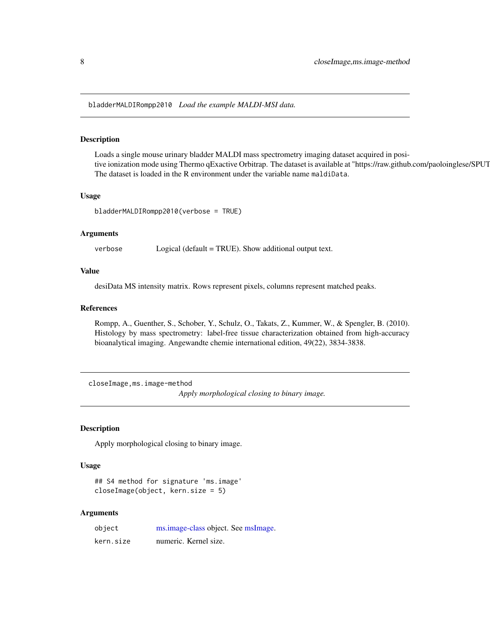<span id="page-7-0"></span>bladderMALDIRompp2010 *Load the example MALDI-MSI data.*

### Description

Loads a single mouse urinary bladder MALDI mass spectrometry imaging dataset acquired in positive ionization mode using Thermo qExactive Orbitrap. The dataset is available at "https://raw.github.com/paoloinglese/SPUT The dataset is loaded in the R environment under the variable name maldiData.

#### Usage

bladderMALDIRompp2010(verbose = TRUE)

## Arguments

verbose Logical (default = TRUE). Show additional output text.

## Value

desiData MS intensity matrix. Rows represent pixels, columns represent matched peaks.

# References

Rompp, A., Guenther, S., Schober, Y., Schulz, O., Takats, Z., Kummer, W., & Spengler, B. (2010). Histology by mass spectrometry: label-free tissue characterization obtained from high-accuracy bioanalytical imaging. Angewandte chemie international edition, 49(22), 3834-3838.

closeImage,ms.image-method *Apply morphological closing to binary image.*

#### Description

Apply morphological closing to binary image.

## Usage

## S4 method for signature 'ms.image' closeImage(object, kern.size = 5)

#### Arguments

| object    | ms.image-class object. See msImage. |
|-----------|-------------------------------------|
| kern.size | numeric. Kernel size.               |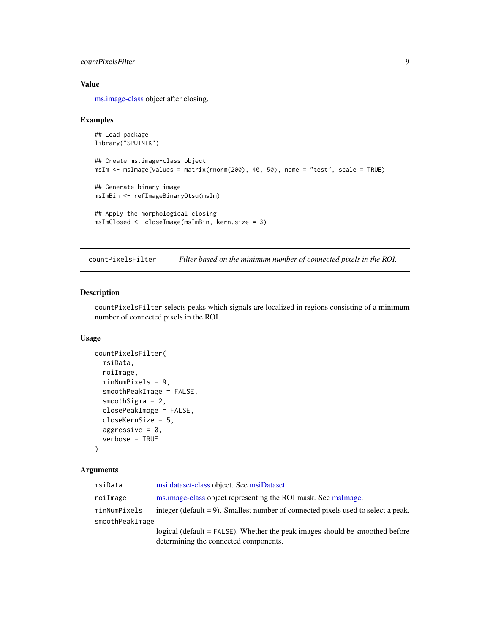# <span id="page-8-0"></span>countPixelsFilter 9

## Value

[ms.image-class](#page-20-2) object after closing.

#### Examples

```
## Load package
library("SPUTNIK")
## Create ms.image-class object
msIm <- msImage(values = matrix(rnorm(200), 40, 50), name = "test", scale = TRUE)
## Generate binary image
msImBin <- refImageBinaryOtsu(msIm)
## Apply the morphological closing
msImClosed <- closeImage(msImBin, kern.size = 3)
```
<span id="page-8-1"></span>countPixelsFilter *Filter based on the minimum number of connected pixels in the ROI.*

# Description

countPixelsFilter selects peaks which signals are localized in regions consisting of a minimum number of connected pixels in the ROI.

# Usage

```
countPixelsFilter(
 msiData,
  roiImage,
  minNumPixels = 9,
  smoothPeakImage = FALSE,
  smoothSigma = 2,
  closePeakImage = FALSE,
  closeKernSize = 5,
  aggressive = 0,
  verbose = TRUE
)
```
#### Arguments

| msiData         | msi.dataset-class object. See msiDataset.                                            |
|-----------------|--------------------------------------------------------------------------------------|
| roiImage        | ms.image-class object representing the ROI mask. See msImage.                        |
| minNumPixels    | integer (default $= 9$ ). Smallest number of connected pixels used to select a peak. |
| smoothPeakImage |                                                                                      |
|                 | logical (default = FALSE). Whether the peak images should be smoothed before         |
|                 | determining the connected components.                                                |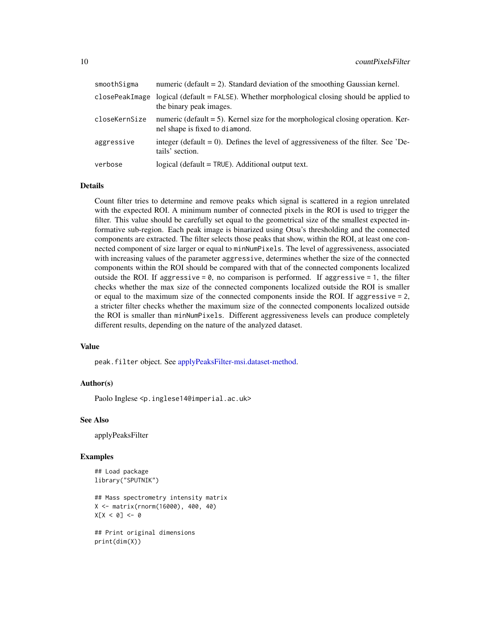<span id="page-9-0"></span>

| smoothSigma   | numeric (default $= 2$ ). Standard deviation of the smoothing Gaussian kernel.                                             |
|---------------|----------------------------------------------------------------------------------------------------------------------------|
|               | closePeakImage logical (default = $FALSE$ ). Whether morphological closing should be applied to<br>the binary peak images. |
| closeKernSize | numeric (default $= 5$ ). Kernel size for the morphological closing operation. Ker-<br>nel shape is fixed to diamond.      |
| aggressive    | integer (default $= 0$ ). Defines the level of aggressiveness of the filter. See 'De-<br>tails' section.                   |
| verbose       | $logical$ (default = $TRUE$ ). Additional output text.                                                                     |

#### Details

Count filter tries to determine and remove peaks which signal is scattered in a region unrelated with the expected ROI. A minimum number of connected pixels in the ROI is used to trigger the filter. This value should be carefully set equal to the geometrical size of the smallest expected informative sub-region. Each peak image is binarized using Otsu's thresholding and the connected components are extracted. The filter selects those peaks that show, within the ROI, at least one connected component of size larger or equal to minNumPixels. The level of aggressiveness, associated with increasing values of the parameter aggressive, determines whether the size of the connected components within the ROI should be compared with that of the connected components localized outside the ROI. If aggressive =  $\theta$ , no comparison is performed. If aggressive = 1, the filter checks whether the max size of the connected components localized outside the ROI is smaller or equal to the maximum size of the connected components inside the ROI. If aggressive = 2, a stricter filter checks whether the maximum size of the connected components localized outside the ROI is smaller than minNumPixels. Different aggressiveness levels can produce completely different results, depending on the nature of the analyzed dataset.

## Value

peak.filter object. See [applyPeaksFilter-msi.dataset-method.](#page-2-1)

#### Author(s)

Paolo Inglese <p.inglese14@imperial.ac.uk>

#### See Also

applyPeaksFilter

```
## Load package
library("SPUTNIK")
```

```
## Mass spectrometry intensity matrix
X <- matrix(rnorm(16000), 400, 40)
X[X \leq \emptyset] <- 0
```

```
## Print original dimensions
print(dim(X))
```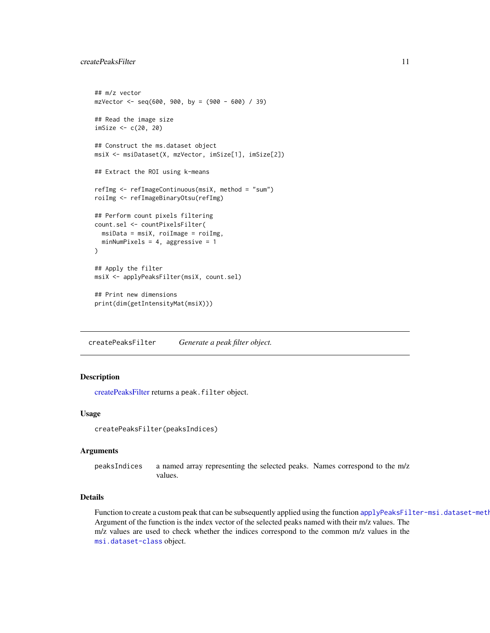```
## m/z vector
mzVector <- seq(600, 900, by = (900 - 600) / 39)
## Read the image size
imSize <- c(20, 20)
## Construct the ms.dataset object
msiX <- msiDataset(X, mzVector, imSize[1], imSize[2])
## Extract the ROI using k-means
refImg <- refImageContinuous(msiX, method = "sum")
roiImg <- refImageBinaryOtsu(refImg)
## Perform count pixels filtering
count.sel <- countPixelsFilter(
  msiData = msiX, roiImage = roiImg,
  minNumPixels = 4, aggressive = 1
)
## Apply the filter
msiX <- applyPeaksFilter(msiX, count.sel)
## Print new dimensions
print(dim(getIntensityMat(msiX)))
```
<span id="page-10-1"></span>createPeaksFilter *Generate a peak filter object.*

## Description

[createPeaksFilter](#page-10-1) returns a peak.filter object.

#### Usage

```
createPeaksFilter(peaksIndices)
```
#### Arguments

peaksIndices a named array representing the selected peaks. Names correspond to the m/z values.

# Details

Function to create a custom peak that can be subsequently applied using the function [applyPeaksFilter-msi.dataset-method](#page-2-1). Argument of the function is the index vector of the selected peaks named with their m/z values. The m/z values are used to check whether the indices correspond to the common m/z values in the [msi.dataset-class](#page-20-1) object.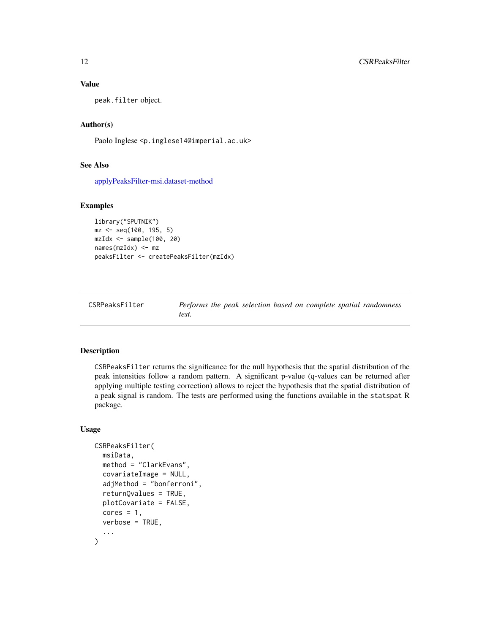## Value

peak.filter object.

## Author(s)

Paolo Inglese <p.inglese14@imperial.ac.uk>

# See Also

[applyPeaksFilter-msi.dataset-method](#page-2-1)

## Examples

```
library("SPUTNIK")
mz <- seq(100, 195, 5)
mzIdx \leftarrow sample(100, 20)names(mzIdx) <- mz
peaksFilter <- createPeaksFilter(mzIdx)
```

| CSRPeaksFilter | Performs the peak selection based on complete spatial randomness |
|----------------|------------------------------------------------------------------|
|                | test.                                                            |

#### Description

CSRPeaksFilter returns the significance for the null hypothesis that the spatial distribution of the peak intensities follow a random pattern. A significant p-value (q-values can be returned after applying multiple testing correction) allows to reject the hypothesis that the spatial distribution of a peak signal is random. The tests are performed using the functions available in the statspat R package.

#### Usage

```
CSRPeaksFilter(
  msiData,
  method = "ClarkEvans",
  covariateImage = NULL,
  adjMethod = "bonferroni",
  returnQvalues = TRUE,
  plotCovariate = FALSE,
  cores = 1,verbose = TRUE,
  ...
)
```
<span id="page-11-0"></span>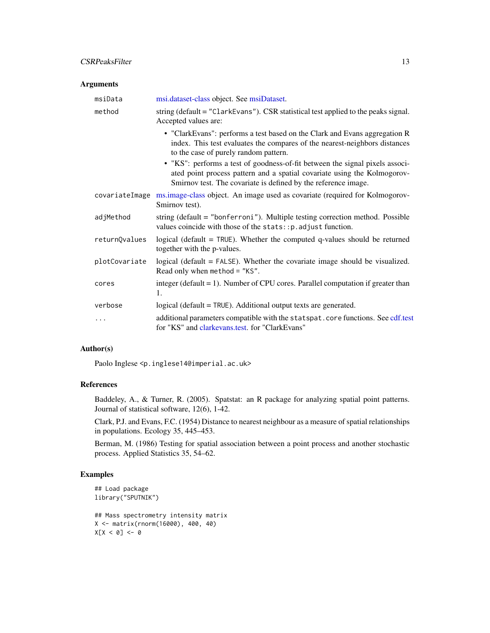## <span id="page-12-0"></span>CSRPeaksFilter 13

## Arguments

| msiData        | msi.dataset-class object. See msiDataset.                                                                                                                                                                                                                                                                                                                     |
|----------------|---------------------------------------------------------------------------------------------------------------------------------------------------------------------------------------------------------------------------------------------------------------------------------------------------------------------------------------------------------------|
| method         | string (default = "ClarkEvans"). CSR statistical test applied to the peaks signal.<br>Accepted values are:                                                                                                                                                                                                                                                    |
|                | • "ClarkEvans": performs a test based on the Clark and Evans aggregation R<br>index. This test evaluates the compares of the nearest-neighbors distances<br>to the case of purely random pattern.<br>• "KS": performs a test of goodness-of-fit between the signal pixels associ-<br>ated point process pattern and a spatial covariate using the Kolmogorov- |
|                | Smirnov test. The covariate is defined by the reference image.                                                                                                                                                                                                                                                                                                |
| covariateImage | ms.image-class object. An image used as covariate (required for Kolmogorov-<br>Smirnov test).                                                                                                                                                                                                                                                                 |
| adjMethod      | string (default = "bonferroni"). Multiple testing correction method. Possible<br>values coincide with those of the stats:: p. adjust function.                                                                                                                                                                                                                |
| returnQvalues  | logical (default = $TRUE$ ). Whether the computed q-values should be returned<br>together with the p-values.                                                                                                                                                                                                                                                  |
| plotCovariate  | logical (default $=$ FALSE). Whether the covariate image should be visualized.<br>Read only when method = "KS".                                                                                                                                                                                                                                               |
| cores          | integer (default $= 1$ ). Number of CPU cores. Parallel computation if greater than<br>1.                                                                                                                                                                                                                                                                     |
| verbose        | $logical$ (default = TRUE). Additional output texts are generated.                                                                                                                                                                                                                                                                                            |
| $\cdots$       | additional parameters compatible with the statspat.core functions. See cdf.test<br>for "KS" and clarkevans.test. for "ClarkEvans"                                                                                                                                                                                                                             |

# Author(s)

Paolo Inglese <p.inglese14@imperial.ac.uk>

# References

Baddeley, A., & Turner, R. (2005). Spatstat: an R package for analyzing spatial point patterns. Journal of statistical software, 12(6), 1-42.

Clark, P.J. and Evans, F.C. (1954) Distance to nearest neighbour as a measure of spatial relationships in populations. Ecology 35, 445–453.

Berman, M. (1986) Testing for spatial association between a point process and another stochastic process. Applied Statistics 35, 54–62.

```
## Load package
library("SPUTNIK")
```

```
## Mass spectrometry intensity matrix
X <- matrix(rnorm(16000), 400, 40)
X[X < 0] <- 0
```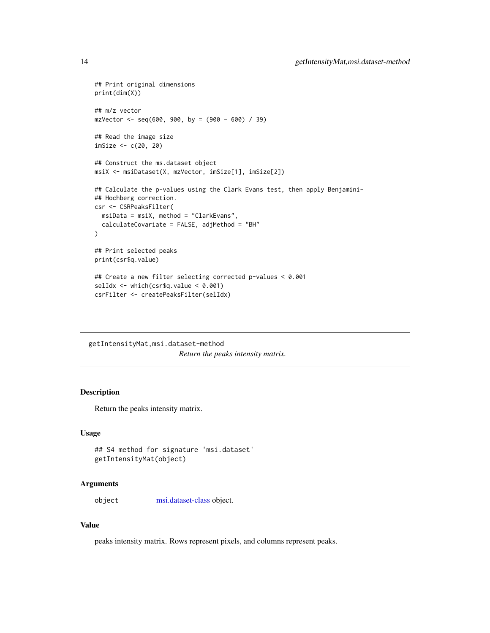```
## Print original dimensions
print(dim(X))
## m/z vector
mzVector < -seq(600, 900, by = (900 - 600) / 39)## Read the image size
imSize <- c(20, 20)
## Construct the ms.dataset object
msiX <- msiDataset(X, mzVector, imSize[1], imSize[2])
## Calculate the p-values using the Clark Evans test, then apply Benjamini-
## Hochberg correction.
csr <- CSRPeaksFilter(
  msiData = msiX, method = "ClarkEvans",
  calculateCovariate = FALSE, adjMethod = "BH"
)
## Print selected peaks
print(csr$q.value)
## Create a new filter selecting corrected p-values < 0.001
selIdx <- which(csr$q.value < 0.001)
csrFilter <- createPeaksFilter(selIdx)
```
getIntensityMat,msi.dataset-method *Return the peaks intensity matrix.*

# Description

Return the peaks intensity matrix.

## Usage

```
## S4 method for signature 'msi.dataset'
getIntensityMat(object)
```
#### Arguments

object [msi.dataset-class](#page-20-1) object.

#### Value

peaks intensity matrix. Rows represent pixels, and columns represent peaks.

<span id="page-13-0"></span>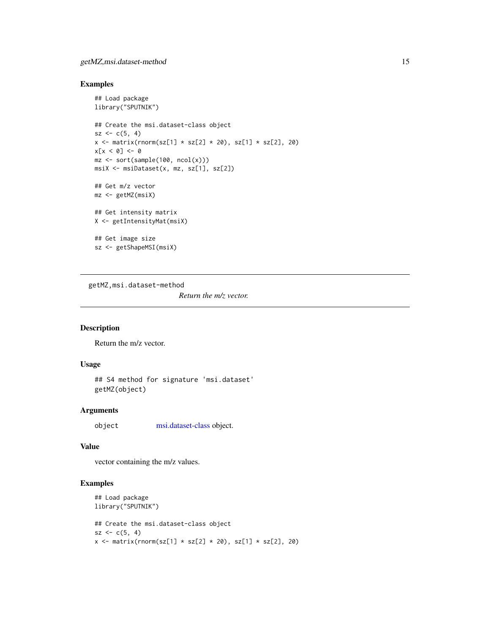# <span id="page-14-0"></span>getMZ,msi.dataset-method 15

#### Examples

```
## Load package
library("SPUTNIK")
## Create the msi.dataset-class object
sz < -c(5, 4)x \le matrix(rnorm(sz[1] * sz[2] * 20), sz[1] * sz[2], 20)
x[x < 0] <- 0
mz \le sort(sample(100, ncol(x)))
msiX <- msiDataset(x, mz, sz[1], sz[2])
## Get m/z vector
mz <- getMZ(msiX)
## Get intensity matrix
X <- getIntensityMat(msiX)
## Get image size
sz <- getShapeMSI(msiX)
```
getMZ,msi.dataset-method

*Return the m/z vector.*

# Description

Return the m/z vector.

## Usage

```
## S4 method for signature 'msi.dataset'
getMZ(object)
```
# Arguments

object [msi.dataset-class](#page-20-1) object.

## Value

vector containing the m/z values.

```
## Load package
library("SPUTNIK")
## Create the msi.dataset-class object
sz < -c(5, 4)x \le matrix(rnorm(sz[1] * sz[2] * 20), sz[1] * sz[2], 20)
```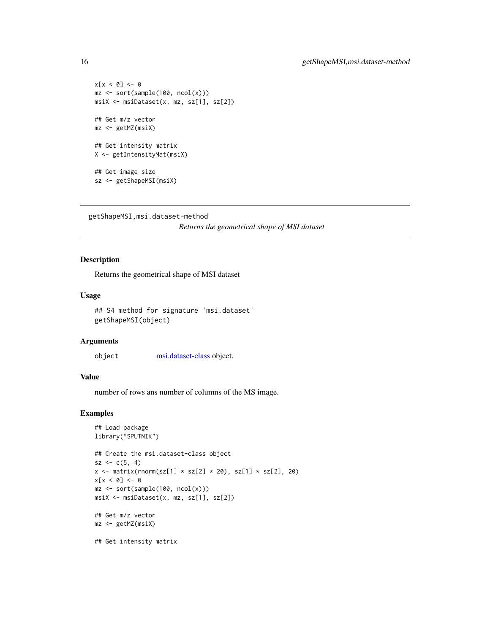```
x[x < 0] <- 0
mz <- sort(sample(100, ncol(x)))
msiX <- msiDataset(x, mz, sz[1], sz[2])
## Get m/z vector
mz <- getMZ(msiX)
## Get intensity matrix
X <- getIntensityMat(msiX)
## Get image size
sz <- getShapeMSI(msiX)
```

```
getShapeMSI,msi.dataset-method
```
*Returns the geometrical shape of MSI dataset*

## Description

Returns the geometrical shape of MSI dataset

## Usage

```
## S4 method for signature 'msi.dataset'
getShapeMSI(object)
```
#### **Arguments**

object [msi.dataset-class](#page-20-1) object.

## Value

number of rows ans number of columns of the MS image.

```
## Load package
library("SPUTNIK")
## Create the msi.dataset-class object
sz < -c(5, 4)x \le matrix(rnorm(sz[1] * sz[2] * 20), sz[1] * sz[2], 20)
x[x < 0] <- 0
mz \le sort(sample(100, ncol(x)))
msiX <- msiDataset(x, mz, sz[1], sz[2])
## Get m/z vector
mz <- getMZ(msiX)
## Get intensity matrix
```
<span id="page-15-0"></span>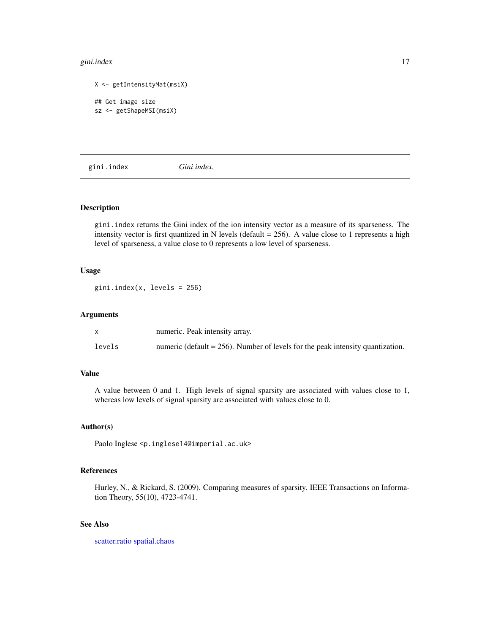#### <span id="page-16-0"></span>gini.index 17

```
X <- getIntensityMat(msiX)
## Get image size
sz <- getShapeMSI(msiX)
```
<span id="page-16-1"></span>gini.index *Gini index.*

## Description

gini.index returns the Gini index of the ion intensity vector as a measure of its sparseness. The intensity vector is first quantized in N levels (default  $= 256$ ). A value close to 1 represents a high level of sparseness, a value close to 0 represents a low level of sparseness.

#### Usage

 $gini.index(x, levels = 256)$ 

#### Arguments

|        | numeric. Peak intensity array.                                                    |
|--------|-----------------------------------------------------------------------------------|
| levels | numeric (default $= 256$ ). Number of levels for the peak intensity quantization. |

## Value

A value between 0 and 1. High levels of signal sparsity are associated with values close to 1, whereas low levels of signal sparsity are associated with values close to 0.

# Author(s)

Paolo Inglese <p.inglese14@imperial.ac.uk>

# References

Hurley, N., & Rickard, S. (2009). Comparing measures of sparsity. IEEE Transactions on Information Theory, 55(10), 4723-4741.

## See Also

[scatter.ratio](#page-34-1) [spatial.chaos](#page-35-1)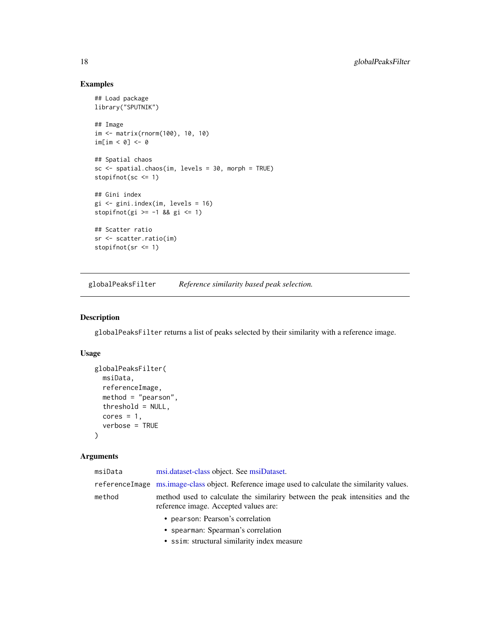# Examples

```
## Load package
library("SPUTNIK")
## Image
im <- matrix(rnorm(100), 10, 10)
im[im < 0] \leftarrow 0
## Spatial chaos
sc <- spatial.chaos(im, levels = 30, morph = TRUE)
stopifnot(sc <= 1)
## Gini index
gi <- gini.index(im, levels = 16)
stopifnot(gi >= -1 && gi <= 1)
## Scatter ratio
sr <- scatter.ratio(im)
stopifnot(sr <= 1)
```
<span id="page-17-1"></span>globalPeaksFilter *Reference similarity based peak selection.*

# Description

globalPeaksFilter returns a list of peaks selected by their similarity with a reference image.

# Usage

```
globalPeaksFilter(
 msiData,
 referenceImage,
 method = "pearson",
 threshold = NULL,
 cores = 1,verbose = TRUE
\mathcal{L}
```
# Arguments

| msiData | msi.dataset-class object. See msiDataset.                                                                             |
|---------|-----------------------------------------------------------------------------------------------------------------------|
|         | referenceImage ms.image-class object. Reference image used to calculate the similarity values.                        |
| method  | method used to calculate the similariry between the peak intensities and the<br>reference image. Accepted values are: |
|         | • pearson: Pearson's correlation                                                                                      |
|         | • spearman: Spearman's correlation                                                                                    |
|         | • ssim: structural similarity index measure                                                                           |

<span id="page-17-0"></span>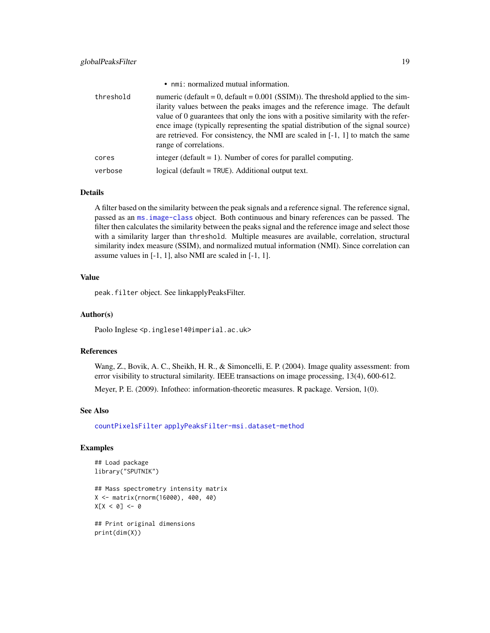<span id="page-18-0"></span>

|           | • nmi: normalized mutual information.                                                                                                                                                                                                                                                                                                                                                                                                                         |
|-----------|---------------------------------------------------------------------------------------------------------------------------------------------------------------------------------------------------------------------------------------------------------------------------------------------------------------------------------------------------------------------------------------------------------------------------------------------------------------|
| threshold | numeric (default = 0, default = $0.001$ (SSIM)). The threshold applied to the sim-<br>ilarity values between the peaks images and the reference image. The default<br>value of 0 guarantees that only the ions with a positive similarity with the refer-<br>ence image (typically representing the spatial distribution of the signal source)<br>are retrieved. For consistency, the NMI are scaled in $[-1, 1]$ to match the same<br>range of correlations. |
| cores     | integer (default $= 1$ ). Number of cores for parallel computing.                                                                                                                                                                                                                                                                                                                                                                                             |
| verbose   | logical ( $default = TRUE$ ). Additional output text.                                                                                                                                                                                                                                                                                                                                                                                                         |

#### Details

A filter based on the similarity between the peak signals and a reference signal. The reference signal, passed as an [ms.image-class](#page-20-2) object. Both continuous and binary references can be passed. The filter then calculates the similarity between the peaks signal and the reference image and select those with a similarity larger than threshold. Multiple measures are available, correlation, structural similarity index measure (SSIM), and normalized mutual information (NMI). Since correlation can assume values in [-1, 1], also NMI are scaled in [-1, 1].

# Value

peak.filter object. See linkapplyPeaksFilter.

#### Author(s)

Paolo Inglese <p.inglese14@imperial.ac.uk>

#### References

Wang, Z., Bovik, A. C., Sheikh, H. R., & Simoncelli, E. P. (2004). Image quality assessment: from error visibility to structural similarity. IEEE transactions on image processing, 13(4), 600-612.

Meyer, P. E. (2009). Infotheo: information-theoretic measures. R package. Version, 1(0).

#### See Also

[countPixelsFilter](#page-8-1) [applyPeaksFilter-msi.dataset-method](#page-2-1)

```
## Load package
library("SPUTNIK")
```

```
## Mass spectrometry intensity matrix
X <- matrix(rnorm(16000), 400, 40)
X[X < 0] <- 0
```

```
## Print original dimensions
print(dim(X))
```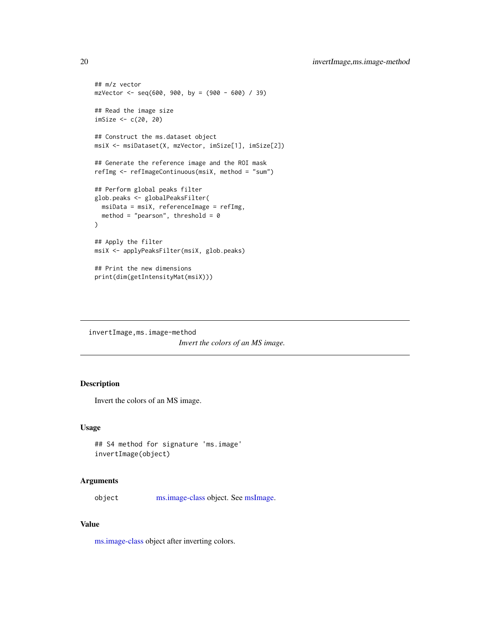```
## m/z vector
mzVector < -seq(600, 900, by = (900 - 600) / 39)## Read the image size
imSize <- c(20, 20)
## Construct the ms.dataset object
msiX <- msiDataset(X, mzVector, imSize[1], imSize[2])
## Generate the reference image and the ROI mask
refImg <- refImageContinuous(msiX, method = "sum")
## Perform global peaks filter
glob.peaks <- globalPeaksFilter(
  msiData = msiX, referenceImage = refImg,
  method = "pearson", threshold = \theta)
## Apply the filter
msiX <- applyPeaksFilter(msiX, glob.peaks)
## Print the new dimensions
print(dim(getIntensityMat(msiX)))
```
invertImage,ms.image-method *Invert the colors of an MS image.*

# Description

Invert the colors of an MS image.

## Usage

```
## S4 method for signature 'ms.image'
invertImage(object)
```
#### Arguments

object [ms.image-class](#page-20-2) object. See [msImage.](#page-22-1)

## Value

[ms.image-class](#page-20-2) object after inverting colors.

<span id="page-19-0"></span>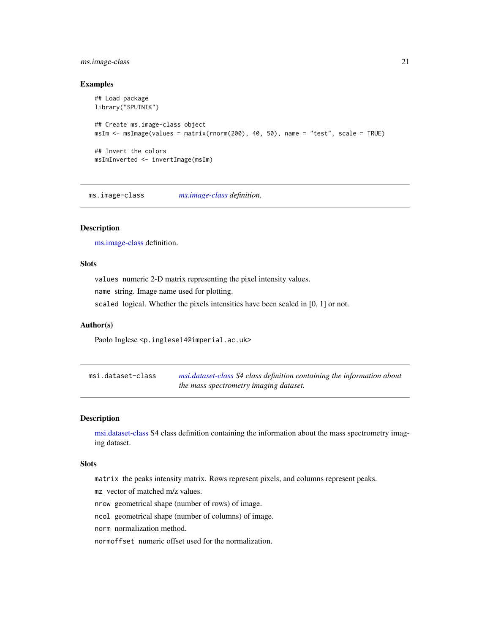# <span id="page-20-0"></span>ms.image-class 21

#### Examples

```
## Load package
library("SPUTNIK")
## Create ms.image-class object
msIm <- msImage(values = matrix(rnorm(200), 40, 50), name = "test", scale = TRUE)
## Invert the colors
msImInverted <- invertImage(msIm)
```
<span id="page-20-2"></span>ms.image-class *[ms.image-class](#page-20-2) definition.*

# Description

[ms.image-class](#page-20-2) definition.

# Slots

values numeric 2-D matrix representing the pixel intensity values. name string. Image name used for plotting. scaled logical. Whether the pixels intensities have been scaled in [0, 1] or not.

## Author(s)

Paolo Inglese <p.inglese14@imperial.ac.uk>

<span id="page-20-1"></span>msi.dataset-class *[msi.dataset-class](#page-20-1) S4 class definition containing the information about the mass spectrometry imaging dataset.*

# Description

[msi.dataset-class](#page-20-1) S4 class definition containing the information about the mass spectrometry imaging dataset.

#### Slots

matrix the peaks intensity matrix. Rows represent pixels, and columns represent peaks.

mz vector of matched m/z values.

nrow geometrical shape (number of rows) of image.

ncol geometrical shape (number of columns) of image.

norm normalization method.

normoffset numeric offset used for the normalization.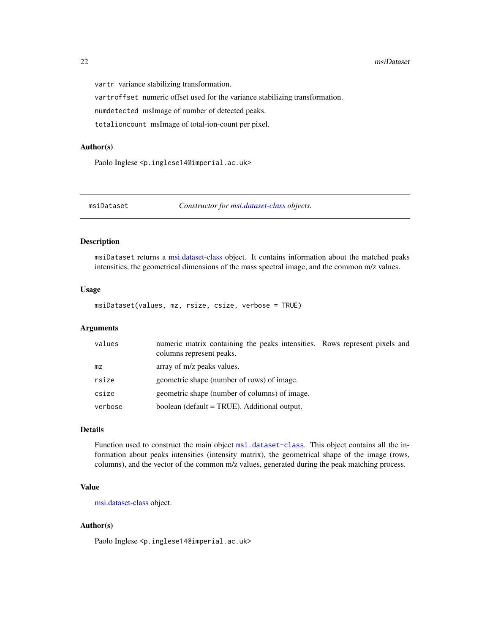#### <span id="page-21-0"></span>22 msiDataset

vartr variance stabilizing transformation.

vartroffset numeric offset used for the variance stabilizing transformation.

numdetected msImage of number of detected peaks.

totalioncount msImage of total-ion-count per pixel.

#### Author(s)

Paolo Inglese <p.inglese14@imperial.ac.uk>

<span id="page-21-1"></span>

msiDataset *Constructor for [msi.dataset-class](#page-20-1) objects.*

# Description

msiDataset returns a [msi.dataset-class](#page-20-1) object. It contains information about the matched peaks intensities, the geometrical dimensions of the mass spectral image, and the common m/z values.

## Usage

msiDataset(values, mz, rsize, csize, verbose = TRUE)

#### Arguments

| values  | numeric matrix containing the peaks intensities. Rows represent pixels and<br>columns represent peaks. |  |
|---------|--------------------------------------------------------------------------------------------------------|--|
| mz.     | array of m/z peaks values.                                                                             |  |
| rsize   | geometric shape (number of rows) of image.                                                             |  |
| csize   | geometric shape (number of columns) of image.                                                          |  |
| verbose | boolean (default = TRUE). Additional output.                                                           |  |

# Details

Function used to construct the main object [msi.dataset-class](#page-20-1). This object contains all the information about peaks intensities (intensity matrix), the geometrical shape of the image (rows, columns), and the vector of the common m/z values, generated during the peak matching process.

#### Value

[msi.dataset-class](#page-20-1) object.

## Author(s)

Paolo Inglese <p.inglese14@imperial.ac.uk>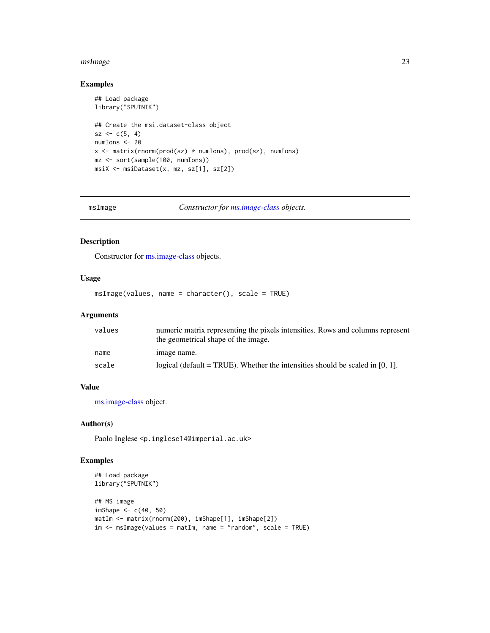#### <span id="page-22-0"></span>msImage 23

## Examples

```
## Load package
library("SPUTNIK")
## Create the msi.dataset-class object
sz < -c(5, 4)numIons <- 20
x <- matrix(rnorm(prod(sz) * numIons), prod(sz), numIons)
mz <- sort(sample(100, numIons))
msiX <- msiDataset(x, mz, sz[1], sz[2])
```
<span id="page-22-1"></span>msImage *Constructor for [ms.image-class](#page-20-2) objects.*

# Description

Constructor for [ms.image-class](#page-20-2) objects.

# Usage

msImage(values, name = character(), scale = TRUE)

## Arguments

| values | numeric matrix representing the pixels intensities. Rows and columns represent<br>the geometrical shape of the image. |
|--------|-----------------------------------------------------------------------------------------------------------------------|
| name   | image name.                                                                                                           |
| scale  | logical (default = TRUE). Whether the intensities should be scaled in $[0, 1]$ .                                      |

# Value

[ms.image-class](#page-20-2) object.

#### Author(s)

Paolo Inglese <p.inglese14@imperial.ac.uk>

```
## Load package
library("SPUTNIK")
## MS image
imShape <-c(40, 50)matIm <- matrix(rnorm(200), imShape[1], imShape[2])
im < - msImage(values = matIm, name = "random", scale = TRUE)
```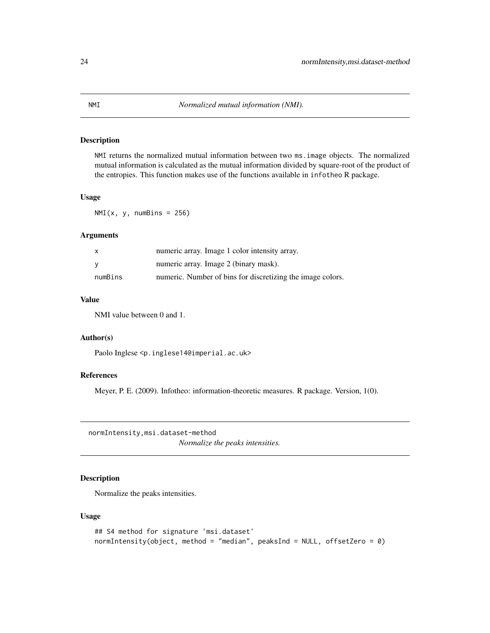# <span id="page-23-0"></span>Description

NMI returns the normalized mutual information between two ms.image objects. The normalized mutual information is calculated as the mutual information divided by square-root of the product of the entropies. This function makes use of the functions available in infotheo R package.

## Usage

 $NMI(x, y, numBins = 256)$ 

#### Arguments

| X        | numeric array. Image 1 color intensity array.              |
|----------|------------------------------------------------------------|
| <b>V</b> | numeric array. Image 2 (binary mask).                      |
| numBins  | numeric. Number of bins for discretizing the image colors. |

## Value

NMI value between 0 and 1.

## Author(s)

Paolo Inglese <p.inglese14@imperial.ac.uk>

## References

Meyer, P. E. (2009). Infotheo: information-theoretic measures. R package. Version, 1(0).

normIntensity,msi.dataset-method

*Normalize the peaks intensities.*

# Description

Normalize the peaks intensities.

#### Usage

```
## S4 method for signature 'msi.dataset'
normIntensity(object, method = "median", peaksInd = NULL, offsetZero = 0)
```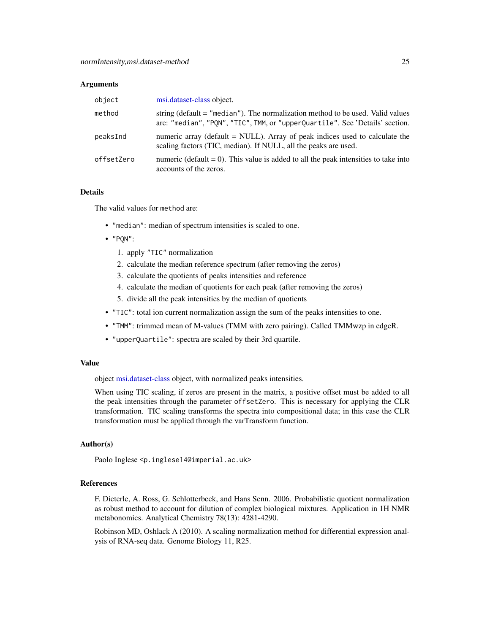#### <span id="page-24-0"></span>**Arguments**

| object     | msi.dataset-class object.                                                                                                                                      |
|------------|----------------------------------------------------------------------------------------------------------------------------------------------------------------|
| method     | string (default = "median"). The normalization method to be used. Valid values<br>are: "median", "PQN", "TIC", TMM, or "upperQuartile". See 'Details' section. |
| peaksInd   | numeric array (default $=$ NULL). Array of peak indices used to calculate the<br>scaling factors (TIC, median). If NULL, all the peaks are used.               |
| offsetZero | numeric (default = 0). This value is added to all the peak intensities to take into<br>accounts of the zeros.                                                  |

#### Details

The valid values for method are:

- "median": median of spectrum intensities is scaled to one.
- "PQN":
	- 1. apply "TIC" normalization
	- 2. calculate the median reference spectrum (after removing the zeros)
	- 3. calculate the quotients of peaks intensities and reference
	- 4. calculate the median of quotients for each peak (after removing the zeros)
	- 5. divide all the peak intensities by the median of quotients
- "TIC": total ion current normalization assign the sum of the peaks intensities to one.
- "TMM": trimmed mean of M-values (TMM with zero pairing). Called TMMwzp in edgeR.
- "upperQuartile": spectra are scaled by their 3rd quartile.

#### Value

object [msi.dataset-class](#page-20-1) object, with normalized peaks intensities.

When using TIC scaling, if zeros are present in the matrix, a positive offset must be added to all the peak intensities through the parameter offsetZero. This is necessary for applying the CLR transformation. TIC scaling transforms the spectra into compositional data; in this case the CLR transformation must be applied through the varTransform function.

## Author(s)

Paolo Inglese <p.inglese14@imperial.ac.uk>

## References

F. Dieterle, A. Ross, G. Schlotterbeck, and Hans Senn. 2006. Probabilistic quotient normalization as robust method to account for dilution of complex biological mixtures. Application in 1H NMR metabonomics. Analytical Chemistry 78(13): 4281-4290.

Robinson MD, Oshlack A (2010). A scaling normalization method for differential expression analysis of RNA-seq data. Genome Biology 11, R25.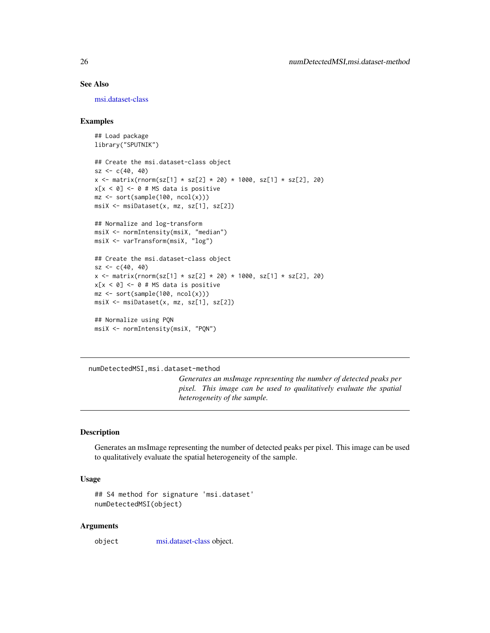# See Also

[msi.dataset-class](#page-20-1)

## Examples

```
## Load package
library("SPUTNIK")
## Create the msi.dataset-class object
sz < -c(40, 40)x <- matrix(rnorm(sz[1] * sz[2] * 20) * 1000, sz[1] * sz[2], 20)
x[x < 0] <- 0 # MS data is positive
mz <- sort(sample(100, ncol(x)))
msiX <- msiDataset(x, mz, sz[1], sz[2])
## Normalize and log-transform
msiX <- normIntensity(msiX, "median")
msiX <- varTransform(msiX, "log")
## Create the msi.dataset-class object
sz < -c(40, 40)x \le - matrix(rnorm(sz[1] * sz[2] * 20) * 1000, sz[1] * sz[2], 20)
x[x < 0] <- 0 # MS data is positive
mz <- sort(sample(100, ncol(x)))
msiX <- msiDataset(x, mz, sz[1], sz[2])
## Normalize using PQN
msiX <- normIntensity(msiX, "PQN")
```
numDetectedMSI,msi.dataset-method

*Generates an msImage representing the number of detected peaks per pixel. This image can be used to qualitatively evaluate the spatial heterogeneity of the sample.*

#### Description

Generates an msImage representing the number of detected peaks per pixel. This image can be used to qualitatively evaluate the spatial heterogeneity of the sample.

# Usage

```
## S4 method for signature 'msi.dataset'
numDetectedMSI(object)
```
#### Arguments

object [msi.dataset-class](#page-20-1) object.

<span id="page-25-0"></span>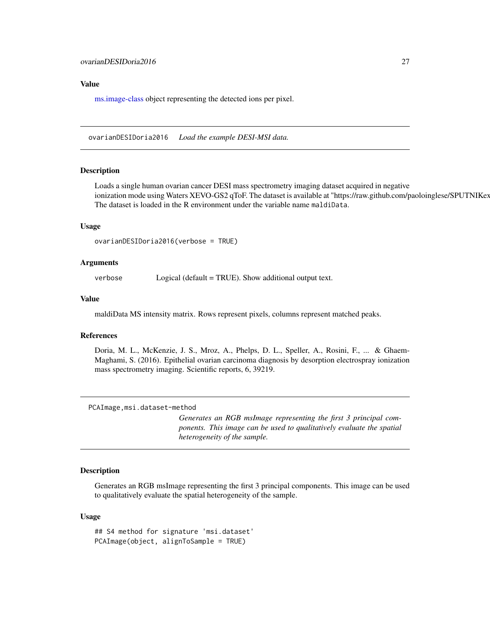## <span id="page-26-0"></span>Value

[ms.image-class](#page-20-2) object representing the detected ions per pixel.

ovarianDESIDoria2016 *Load the example DESI-MSI data.*

#### Description

Loads a single human ovarian cancer DESI mass spectrometry imaging dataset acquired in negative ionization mode using Waters XEVO-GS2 qToF. The dataset is available at "https://raw.github.com/paoloinglese/SPUTNIKex The dataset is loaded in the R environment under the variable name maldiData.

#### Usage

```
ovarianDESIDoria2016(verbose = TRUE)
```
#### Arguments

verbose Logical (default = TRUE). Show additional output text.

#### Value

maldiData MS intensity matrix. Rows represent pixels, columns represent matched peaks.

#### References

Doria, M. L., McKenzie, J. S., Mroz, A., Phelps, D. L., Speller, A., Rosini, F., ... & Ghaem-Maghami, S. (2016). Epithelial ovarian carcinoma diagnosis by desorption electrospray ionization mass spectrometry imaging. Scientific reports, 6, 39219.

```
PCAImage,msi.dataset-method
```
*Generates an RGB msImage representing the first 3 principal components. This image can be used to qualitatively evaluate the spatial heterogeneity of the sample.*

### Description

Generates an RGB msImage representing the first 3 principal components. This image can be used to qualitatively evaluate the spatial heterogeneity of the sample.

#### Usage

## S4 method for signature 'msi.dataset' PCAImage(object, alignToSample = TRUE)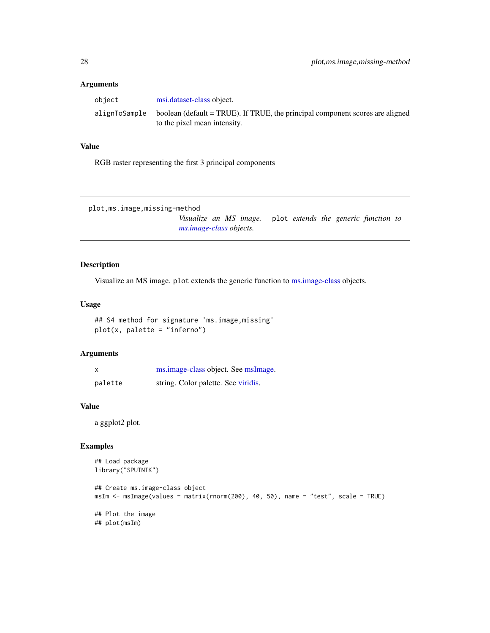## <span id="page-27-0"></span>Arguments

| obiect | msi.dataset-class object.                                                                                                   |
|--------|-----------------------------------------------------------------------------------------------------------------------------|
|        | alignToSample boolean (default = TRUE). If TRUE, the principal component scores are aligned<br>to the pixel mean intensity. |

# Value

RGB raster representing the first 3 principal components

```
plot,ms.image,missing-method
```
*Visualize an MS image.* plot *extends the generic function to [ms.image-class](#page-20-2) objects.*

## Description

Visualize an MS image. plot extends the generic function to [ms.image-class](#page-20-2) objects.

# Usage

## S4 method for signature 'ms.image,missing' plot(x, palette = "inferno")

## Arguments

| X       | ms.image-class object. See msImage. |
|---------|-------------------------------------|
| palette | string. Color palette. See viridis. |

#### Value

a ggplot2 plot.

```
## Load package
library("SPUTNIK")
## Create ms.image-class object
msIm <- msImage(values = matrix(rnorm(200), 40, 50), name = "test", scale = TRUE)
## Plot the image
## plot(msIm)
```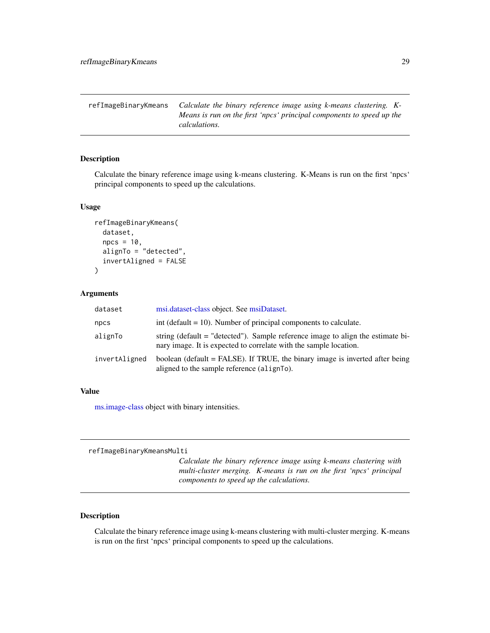<span id="page-28-0"></span>refImageBinaryKmeans *Calculate the binary reference image using k-means clustering. K-Means is run on the first 'npcs' principal components to speed up the calculations.*

# Description

Calculate the binary reference image using k-means clustering. K-Means is run on the first 'npcs' principal components to speed up the calculations.

# Usage

```
refImageBinaryKmeans(
  dataset,
  npcs = 10,
 alignTo = "detected",
  invertAligned = FALSE
)
```
### Arguments

| dataset       | msi.dataset-class object. See msiDataset.                                                                                                            |
|---------------|------------------------------------------------------------------------------------------------------------------------------------------------------|
| npcs          | int (default $= 10$ ). Number of principal components to calculate.                                                                                  |
| alignTo       | string (default = "detected"). Sample reference image to align the estimate bi-<br>nary image. It is expected to correlate with the sample location. |
| invertAligned | boolean (default = FALSE). If TRUE, the binary image is inverted after being<br>aligned to the sample reference (alignto).                           |

# Value

[ms.image-class](#page-20-2) object with binary intensities.

refImageBinaryKmeansMulti

*Calculate the binary reference image using k-means clustering with multi-cluster merging. K-means is run on the first 'npcs' principal components to speed up the calculations.*

# Description

Calculate the binary reference image using k-means clustering with multi-cluster merging. K-means is run on the first 'npcs' principal components to speed up the calculations.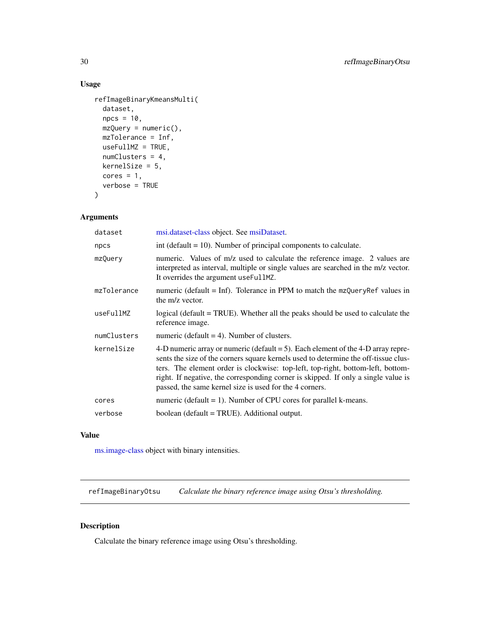# Usage

```
refImageBinaryKmeansMulti(
  dataset,
 npcs = 10,
 mzQuery = numeric(),
 mzTolerance = Inf,
 useFullMZ = TRUE,
 numClusters = 4,
 kernelSize = 5,
 cores = 1,
  verbose = TRUE
\mathcal{L}
```
# Arguments

| dataset     | msi.dataset-class object. See msiDataset.                                                                                                                                                                                                                                                                                                                                                                      |
|-------------|----------------------------------------------------------------------------------------------------------------------------------------------------------------------------------------------------------------------------------------------------------------------------------------------------------------------------------------------------------------------------------------------------------------|
| npcs        | int (default $= 10$ ). Number of principal components to calculate.                                                                                                                                                                                                                                                                                                                                            |
| mzQuery     | numeric. Values of m/z used to calculate the reference image. 2 values are<br>interpreted as interval, multiple or single values are searched in the m/z vector.<br>It overrides the argument useFullMZ.                                                                                                                                                                                                       |
| mzTolerance | numeric (default = Inf). Tolerance in PPM to match the $mzQueryRef$ values in<br>the m/z vector.                                                                                                                                                                                                                                                                                                               |
| useFullMZ   | logical (default = TRUE). Whether all the peaks should be used to calculate the<br>reference image.                                                                                                                                                                                                                                                                                                            |
| numClusters | numeric (default $=$ 4). Number of clusters.                                                                                                                                                                                                                                                                                                                                                                   |
| kernelSize  | 4-D numeric array or numeric (default $= 5$ ). Each element of the 4-D array repre-<br>sents the size of the corners square kernels used to determine the off-tissue clus-<br>ters. The element order is clockwise: top-left, top-right, bottom-left, bottom-<br>right. If negative, the corresponding corner is skipped. If only a single value is<br>passed, the same kernel size is used for the 4 corners. |
| cores       | numeric (default $= 1$ ). Number of CPU cores for parallel k-means.                                                                                                                                                                                                                                                                                                                                            |
| verbose     | boolean (default = TRUE). Additional output.                                                                                                                                                                                                                                                                                                                                                                   |
|             |                                                                                                                                                                                                                                                                                                                                                                                                                |

# Value

[ms.image-class](#page-20-2) object with binary intensities.

refImageBinaryOtsu *Calculate the binary reference image using Otsu's thresholding.*

# Description

Calculate the binary reference image using Otsu's thresholding.

<span id="page-29-0"></span>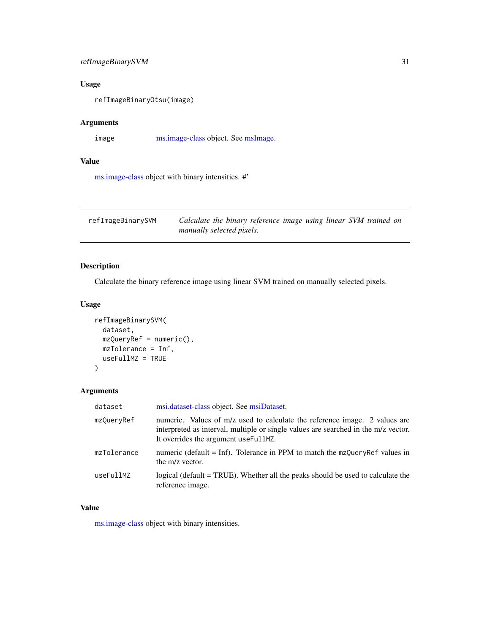# <span id="page-30-0"></span>refImageBinarySVM 31

# Usage

refImageBinaryOtsu(image)

# Arguments

image [ms.image-class](#page-20-2) object. See [msImage.](#page-22-1)

# Value

[ms.image-class](#page-20-2) object with binary intensities. #'

| refImageBinarySVM | Calculate the binary reference image using linear SVM trained on |
|-------------------|------------------------------------------------------------------|
|                   | manually selected pixels.                                        |

# Description

Calculate the binary reference image using linear SVM trained on manually selected pixels.

# Usage

```
refImageBinarySVM(
 dataset,
 mzQueryRef = numeric(),
 mzTolerance = Inf,
 useFullMZ = TRUE
)
```
# Arguments

| dataset     | msi.dataset-class object. See msiDataset.                                                                                                                                                                |
|-------------|----------------------------------------------------------------------------------------------------------------------------------------------------------------------------------------------------------|
| mzQueryRef  | numeric. Values of m/z used to calculate the reference image. 2 values are<br>interpreted as interval, multiple or single values are searched in the m/z vector.<br>It overrides the argument useFullMZ. |
| mzTolerance | numeric (default = Inf). Tolerance in PPM to match the $mzQueryRef$ values in<br>the m/z vector.                                                                                                         |
| useFullMZ   | logical (default = TRUE). Whether all the peaks should be used to calculate the<br>reference image.                                                                                                      |

# Value

[ms.image-class](#page-20-2) object with binary intensities.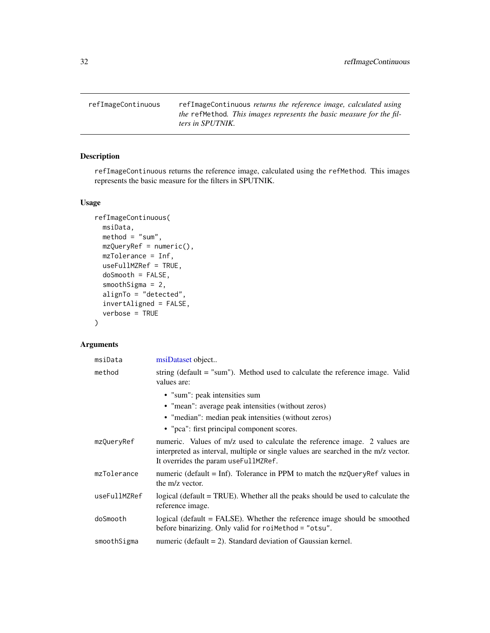<span id="page-31-0"></span>refImageContinuous refImageContinuous *returns the reference image, calculated using the* refMethod*. This images represents the basic measure for the filters in SPUTNIK.*

# Description

refImageContinuous returns the reference image, calculated using the refMethod. This images represents the basic measure for the filters in SPUTNIK.

# Usage

```
refImageContinuous(
 msiData,
 method = "sum",mzQueryRef = numeric(),
 mzTolerance = Inf,
 useFullMZRef = TRUE,
 doSmooth = FALSE,
  smoothSigma = 2,
  alignTo = "detected",
  invertAligned = FALSE,
  verbose = TRUE
)
```
# Arguments

| msiData      | msiDataset object                                                                                                                                                                                        |
|--------------|----------------------------------------------------------------------------------------------------------------------------------------------------------------------------------------------------------|
| method       | string (default $=$ "sum"). Method used to calculate the reference image. Valid<br>values are:                                                                                                           |
|              | • "sum": peak intensities sum                                                                                                                                                                            |
|              | • "mean": average peak intensities (without zeros)                                                                                                                                                       |
|              | • "median": median peak intensities (without zeros)                                                                                                                                                      |
|              | • "pca": first principal component scores.                                                                                                                                                               |
| mzQueryRef   | numeric. Values of m/z used to calculate the reference image. 2 values are<br>interpreted as interval, multiple or single values are searched in the m/z vector.<br>It overrides the param useFullMZRef. |
| mzTolerance  | numeric (default $=$ Inf). Tolerance in PPM to match the $mz$ QueryRef values in<br>the m/z vector.                                                                                                      |
| useFullMZRef | logical (default = TRUE). Whether all the peaks should be used to calculate the<br>reference image.                                                                                                      |
| doSmooth     | logical (default = FALSE). Whether the reference image should be smoothed<br>before binarizing. Only valid for roiMethod = "otsu".                                                                       |
| smoothSigma  | numeric (default $= 2$ ). Standard deviation of Gaussian kernel.                                                                                                                                         |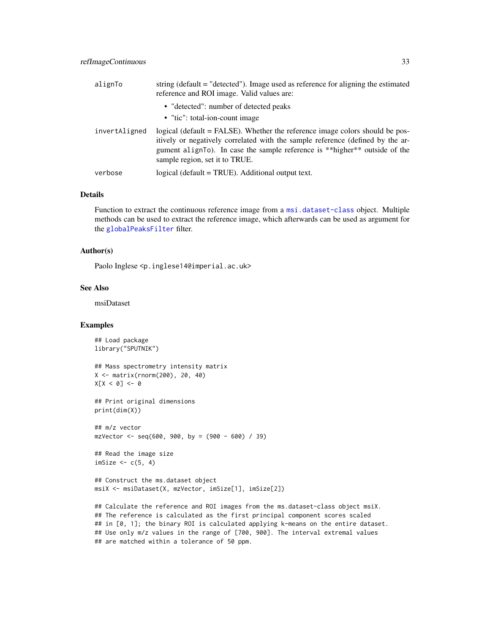<span id="page-32-0"></span>

| alignTo       | string ( $default = "detected")$ ). Image used as reference for aligning the estimated<br>reference and ROI image. Valid values are:                                                                                                                                           |
|---------------|--------------------------------------------------------------------------------------------------------------------------------------------------------------------------------------------------------------------------------------------------------------------------------|
|               | • "detected": number of detected peaks                                                                                                                                                                                                                                         |
|               | • "tic": total-ion-count image                                                                                                                                                                                                                                                 |
| invertAligned | logical (default = FALSE). Whether the reference image colors should be pos-<br>itively or negatively correlated with the sample reference (defined by the ar-<br>gument alignTo). In case the sample reference is **higher** outside of the<br>sample region, set it to TRUE. |
| verbose       | logical (default = TRUE). Additional output text.                                                                                                                                                                                                                              |

### Details

Function to extract the continuous reference image from a [msi.dataset-class](#page-20-1) object. Multiple methods can be used to extract the reference image, which afterwards can be used as argument for the [globalPeaksFilter](#page-17-1) filter.

#### Author(s)

Paolo Inglese <p.inglese14@imperial.ac.uk>

#### See Also

msiDataset

## Examples

## Load package library("SPUTNIK")

```
## Mass spectrometry intensity matrix
X <- matrix(rnorm(200), 20, 40)
X[X < 0] <- 0
```
## Print original dimensions print(dim(X))

## m/z vector  $mzVector < -seq(600, 900, by = (900 - 600) / 39)$ 

```
## Read the image size
imSize <-c(5, 4)
```
## Construct the ms.dataset object msiX <- msiDataset(X, mzVector, imSize[1], imSize[2])

## Calculate the reference and ROI images from the ms.dataset-class object msiX. ## The reference is calculated as the first principal component scores scaled ## in [0, 1]; the binary ROI is calculated applying k-means on the entire dataset. ## Use only m/z values in the range of [700, 900]. The interval extremal values ## are matched within a tolerance of 50 ppm.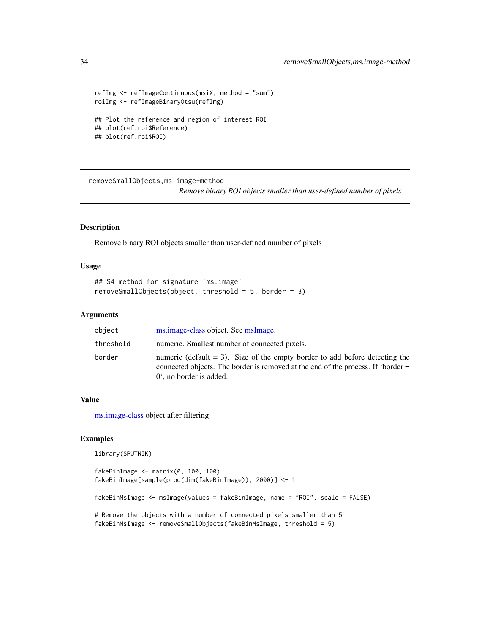```
refImg <- refImageContinuous(msiX, method = "sum")
roiImg <- refImageBinaryOtsu(refImg)
## Plot the reference and region of interest ROI
## plot(ref.roi$Reference)
## plot(ref.roi$ROI)
```
removeSmallObjects,ms.image-method

*Remove binary ROI objects smaller than user-defined number of pixels*

# Description

Remove binary ROI objects smaller than user-defined number of pixels

#### Usage

```
## S4 method for signature 'ms.image'
removeSmallObjects(object, threshold = 5, border = 3)
```
## Arguments

| object    | ms.image-class object. See msImage.                                                                                                                                                                    |
|-----------|--------------------------------------------------------------------------------------------------------------------------------------------------------------------------------------------------------|
| threshold | numeric. Smallest number of connected pixels.                                                                                                                                                          |
| border    | numeric (default $=$ 3). Size of the empty border to add before detecting the<br>connected objects. The border is removed at the end of the process. If 'border =<br>$0^{\circ}$ , no border is added. |

## Value

[ms.image-class](#page-20-2) object after filtering.

#### Examples

library(SPUTNIK)

```
fakeBinImage <- matrix(0, 100, 100)
fakeBinImage[sample(prod(dim(fakeBinImage)), 2000)] <- 1
fakeBinMsImage <- msImage(values = fakeBinImage, name = "ROI", scale = FALSE)
# Remove the objects with a number of connected pixels smaller than 5
fakeBinMsImage <- removeSmallObjects(fakeBinMsImage, threshold = 5)
```
<span id="page-33-0"></span>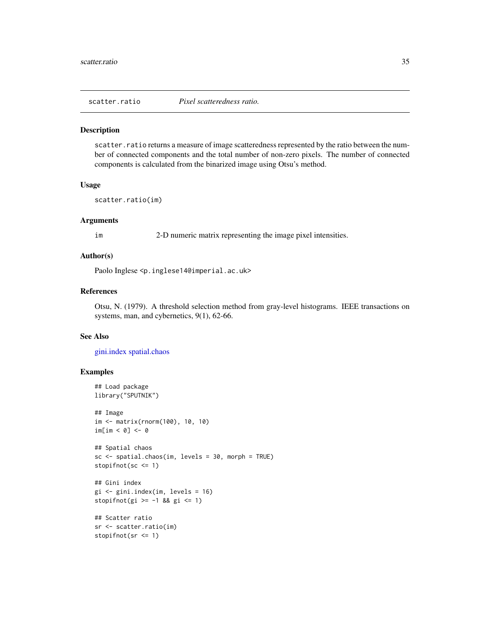<span id="page-34-1"></span><span id="page-34-0"></span>

#### Description

scatter.ratio returns a measure of image scatteredness represented by the ratio between the number of connected components and the total number of non-zero pixels. The number of connected components is calculated from the binarized image using Otsu's method.

#### Usage

scatter.ratio(im)

#### Arguments

im 2-D numeric matrix representing the image pixel intensities.

# Author(s)

Paolo Inglese <p.inglese14@imperial.ac.uk>

## References

Otsu, N. (1979). A threshold selection method from gray-level histograms. IEEE transactions on systems, man, and cybernetics, 9(1), 62-66.

# See Also

[gini.index](#page-16-1) [spatial.chaos](#page-35-1)

```
## Load package
library("SPUTNIK")
## Image
im <- matrix(rnorm(100), 10, 10)
im[im < 0] < -0## Spatial chaos
sc <- spatial.chaos(im, levels = 30, morph = TRUE)
stopifnot(sc <= 1)
## Gini index
gi <- gini.index(im, levels = 16)
stopifnot(gi >= -1 && gi <= 1)
## Scatter ratio
sr <- scatter.ratio(im)
stopifnot(sr <= 1)
```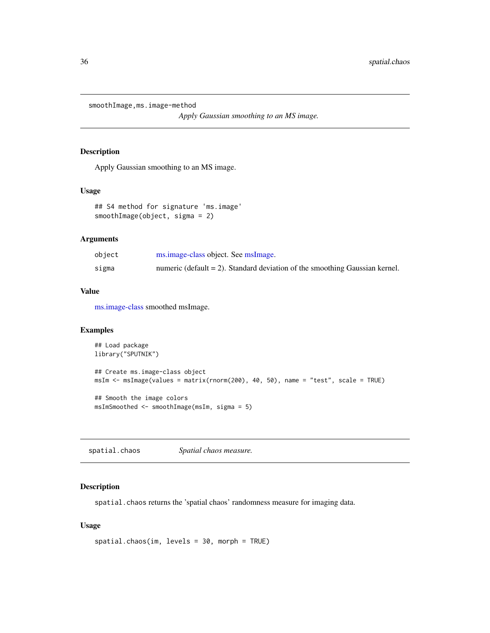<span id="page-35-0"></span>smoothImage,ms.image-method

*Apply Gaussian smoothing to an MS image.*

## Description

Apply Gaussian smoothing to an MS image.

## Usage

```
## S4 method for signature 'ms.image'
smoothImage(object, sigma = 2)
```
# Arguments

| object | ms.image-class object. See msImage.                                            |
|--------|--------------------------------------------------------------------------------|
| sigma  | numeric (default $= 2$ ). Standard deviation of the smoothing Gaussian kernel. |

## Value

[ms.image-class](#page-20-2) smoothed msImage.

# Examples

```
## Load package
library("SPUTNIK")
## Create ms.image-class object
msIm <- msImage(values = matrix(rnorm(200), 40, 50), name = "test", scale = TRUE)
## Smooth the image colors
msImSmoothed <- smoothImage(msIm, sigma = 5)
```
<span id="page-35-1"></span>spatial.chaos *Spatial chaos measure.*

# Description

spatial.chaos returns the 'spatial chaos' randomness measure for imaging data.

## Usage

```
spatial.chaos(im, levels = 30, morph = TRUE)
```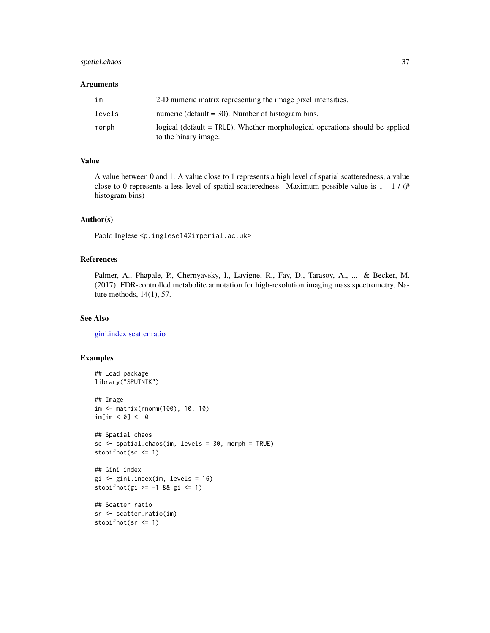# <span id="page-36-0"></span>spatial.chaos 37

## Arguments

| im     | 2-D numeric matrix representing the image pixel intensities.                                           |
|--------|--------------------------------------------------------------------------------------------------------|
| levels | numeric (default $=$ 30). Number of histogram bins.                                                    |
| morph  | logical (default $=$ TRUE). Whether morphological operations should be applied<br>to the binary image. |

## Value

A value between 0 and 1. A value close to 1 represents a high level of spatial scatteredness, a value close to 0 represents a less level of spatial scatteredness. Maximum possible value is 1 - 1 / (# histogram bins)

## Author(s)

Paolo Inglese <p.inglese14@imperial.ac.uk>

# References

Palmer, A., Phapale, P., Chernyavsky, I., Lavigne, R., Fay, D., Tarasov, A., ... & Becker, M. (2017). FDR-controlled metabolite annotation for high-resolution imaging mass spectrometry. Nature methods, 14(1), 57.

## See Also

[gini.index](#page-16-1) [scatter.ratio](#page-34-1)

```
## Load package
library("SPUTNIK")
## Image
im <- matrix(rnorm(100), 10, 10)
im[im < 0] <- 0
## Spatial chaos
sc <- spatial.chaos(im, levels = 30, morph = TRUE)
stopifnot(sc <= 1)
## Gini index
gi <- gini.index(im, levels = 16)
stopifnot(gi >= -1 && gi <= 1)
## Scatter ratio
sr <- scatter.ratio(im)
```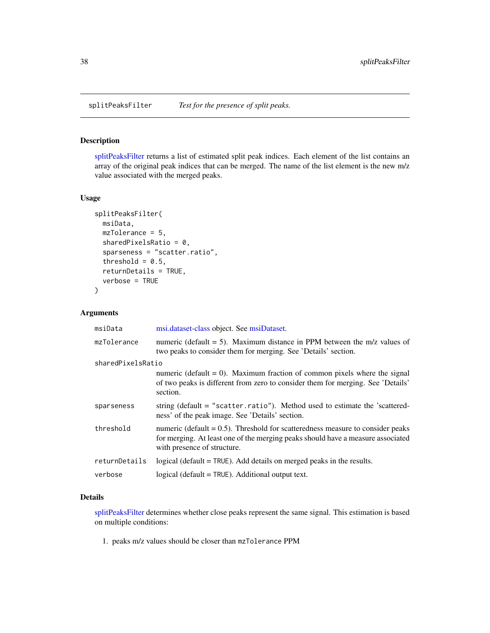<span id="page-37-1"></span><span id="page-37-0"></span>

# Description

[splitPeaksFilter](#page-37-1) returns a list of estimated split peak indices. Each element of the list contains an array of the original peak indices that can be merged. The name of the list element is the new m/z value associated with the merged peaks.

#### Usage

```
splitPeaksFilter(
 msiData,
 mzTolerance = 5,
  sharedPixelsRatio = 0,
  sparseness = "scatter.ratio",
  threshold = 0.5,
  returnDetails = TRUE,
  verbose = TRUE
\mathcal{L}
```
# Arguments

| msiData           | msi.dataset-class object. See msiDataset.                                                                                                                                                           |
|-------------------|-----------------------------------------------------------------------------------------------------------------------------------------------------------------------------------------------------|
| mzTolerance       | numeric (default $= 5$ ). Maximum distance in PPM between the m/z values of<br>two peaks to consider them for merging. See 'Details' section.                                                       |
| sharedPixelsRatio |                                                                                                                                                                                                     |
|                   | numeric (default = 0). Maximum fraction of common pixels where the signal<br>of two peaks is different from zero to consider them for merging. See 'Details'<br>section.                            |
| sparseness        | string (default = "scatter.ratio"). Method used to estimate the 'scattered-<br>ness' of the peak image. See 'Details' section.                                                                      |
| threshold         | numeric (default $= 0.5$ ). Threshold for scatteredness measure to consider peaks<br>for merging. At least one of the merging peaks should have a measure associated<br>with presence of structure. |
| returnDetails     | logical (default $=$ TRUE). Add details on merged peaks in the results.                                                                                                                             |
| verbose           | $logical$ (default = $TRUE$ ). Additional output text.                                                                                                                                              |

# Details

[splitPeaksFilter](#page-37-1) determines whether close peaks represent the same signal. This estimation is based on multiple conditions:

1. peaks m/z values should be closer than mzTolerance PPM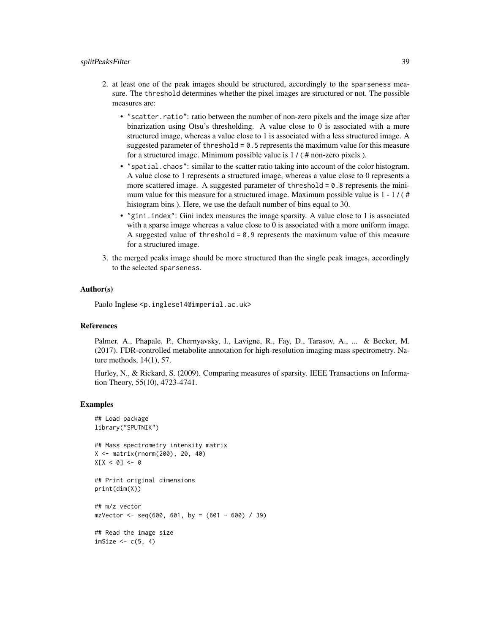#### splitPeaksFilter 39

- 2. at least one of the peak images should be structured, accordingly to the sparseness measure. The threshold determines whether the pixel images are structured or not. The possible measures are:
	- "scatter.ratio": ratio between the number of non-zero pixels and the image size after binarization using Otsu's thresholding. A value close to 0 is associated with a more structured image, whereas a value close to 1 is associated with a less structured image. A suggested parameter of threshold =  $0.5$  represents the maximum value for this measure for a structured image. Minimum possible value is 1 / ( # non-zero pixels ).
	- "spatial.chaos": similar to the scatter ratio taking into account of the color histogram. A value close to 1 represents a structured image, whereas a value close to 0 represents a more scattered image. A suggested parameter of threshold  $= 0.8$  represents the minimum value for this measure for a structured image. Maximum possible value is  $1 - 1 / (\#$ histogram bins ). Here, we use the default number of bins equal to 30.
	- "gini.index": Gini index measures the image sparsity. A value close to 1 is associated with a sparse image whereas a value close to 0 is associated with a more uniform image. A suggested value of threshold  $= 0.9$  represents the maximum value of this measure for a structured image.
- 3. the merged peaks image should be more structured than the single peak images, accordingly to the selected sparseness.

#### Author(s)

Paolo Inglese <p.inglese14@imperial.ac.uk>

## References

Palmer, A., Phapale, P., Chernyavsky, I., Lavigne, R., Fay, D., Tarasov, A., ... & Becker, M. (2017). FDR-controlled metabolite annotation for high-resolution imaging mass spectrometry. Nature methods, 14(1), 57.

Hurley, N., & Rickard, S. (2009). Comparing measures of sparsity. IEEE Transactions on Information Theory, 55(10), 4723-4741.

#### Examples

```
## Load package
library("SPUTNIK")
```
## Mass spectrometry intensity matrix X <- matrix(rnorm(200), 20, 40)  $X[X < 0]$  <- 0

## Print original dimensions print(dim(X))

## m/z vector  $mzVector < -seq(600, 601, by = (601 - 600) / 39)$ ## Read the image size  $imSize \leftarrow c(5, 4)$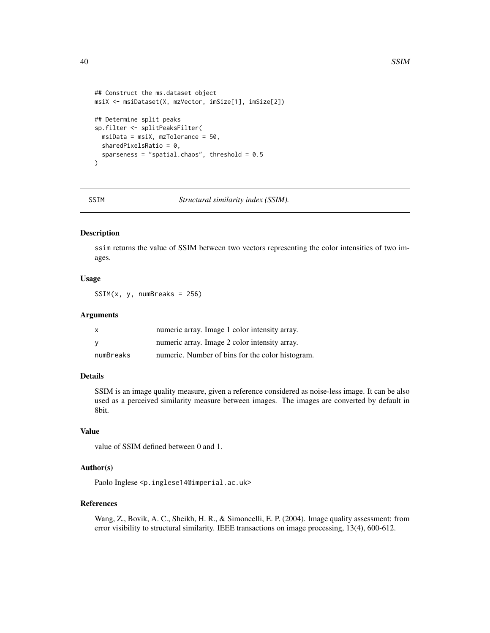```
## Construct the ms.dataset object
msiX <- msiDataset(X, mzVector, imSize[1], imSize[2])
## Determine split peaks
sp.filter <- splitPeaksFilter(
  msiData = msiX, mzTolerance = 50,
  sharedPixelsRatio = 0,
  sparseness = "spatial.chaos", threshold = 0.5\overline{\phantom{a}}
```
SSIM *Structural similarity index (SSIM).*

# Description

ssim returns the value of SSIM between two vectors representing the color intensities of two images.

## Usage

SSIM(x, y, numBreaks = 256)

#### Arguments

| x         | numeric array. Image 1 color intensity array.    |
|-----------|--------------------------------------------------|
| v         | numeric array. Image 2 color intensity array.    |
| numBreaks | numeric. Number of bins for the color histogram. |

# Details

SSIM is an image quality measure, given a reference considered as noise-less image. It can be also used as a perceived similarity measure between images. The images are converted by default in 8bit.

## Value

value of SSIM defined between 0 and 1.

#### Author(s)

Paolo Inglese <p.inglese14@imperial.ac.uk>

#### References

Wang, Z., Bovik, A. C., Sheikh, H. R., & Simoncelli, E. P. (2004). Image quality assessment: from error visibility to structural similarity. IEEE transactions on image processing, 13(4), 600-612.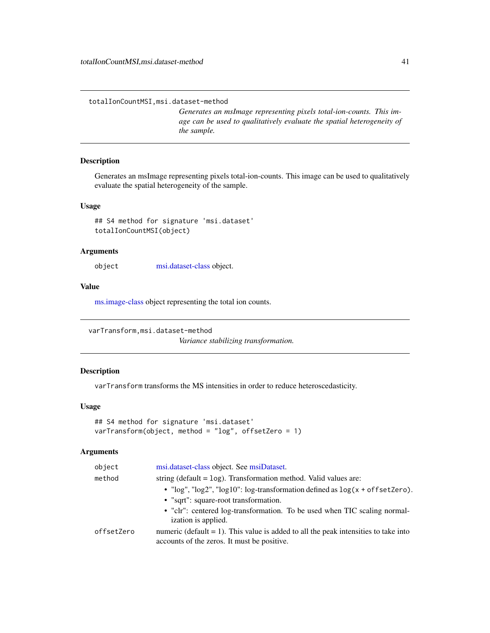<span id="page-40-0"></span>totalIonCountMSI,msi.dataset-method

*Generates an msImage representing pixels total-ion-counts. This image can be used to qualitatively evaluate the spatial heterogeneity of the sample.*

# Description

Generates an msImage representing pixels total-ion-counts. This image can be used to qualitatively evaluate the spatial heterogeneity of the sample.

## Usage

## S4 method for signature 'msi.dataset' totalIonCountMSI(object)

#### **Arguments**

object [msi.dataset-class](#page-20-1) object.

## Value

[ms.image-class](#page-20-2) object representing the total ion counts.

varTransform,msi.dataset-method

*Variance stabilizing transformation.*

#### Description

varTransform transforms the MS intensities in order to reduce heteroscedasticity.

## Usage

```
## S4 method for signature 'msi.dataset'
varTransform(object, method = "log", offsetZero = 1)
```
#### Arguments

| object     | msi.dataset-class object. See msiDataset.                                                                                             |
|------------|---------------------------------------------------------------------------------------------------------------------------------------|
| method     | string (default $=$ log). Transformation method. Valid values are:                                                                    |
|            | • " $\log$ ", " $\log$ 2", " $\log$ 10": $\log$ -transformation defined as $\log(x + \text{offsetZero})$ .                            |
|            | • "sqrt": square-root transformation.                                                                                                 |
|            | • "clr": centered log-transformation. To be used when TIC scaling normal-<br>ization is applied.                                      |
| offsetZero | numeric (default $= 1$ ). This value is added to all the peak intensities to take into<br>accounts of the zeros. It must be positive. |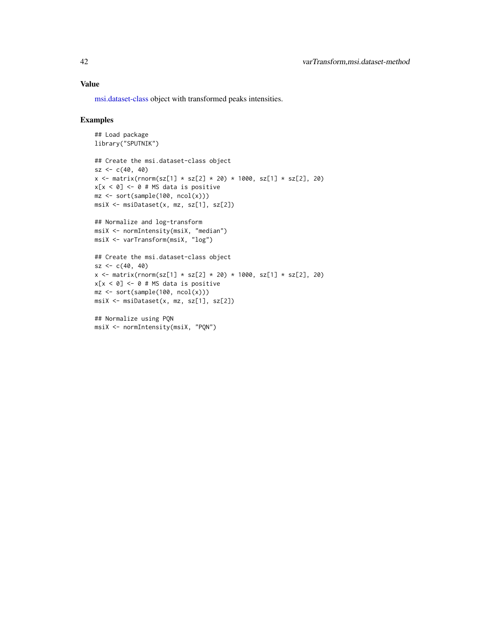## <span id="page-41-0"></span>Value

[msi.dataset-class](#page-20-1) object with transformed peaks intensities.

```
## Load package
library("SPUTNIK")
## Create the msi.dataset-class object
sz < -c(40, 40)x \le matrix(rnorm(sz[1] * sz[2] * 20) * 1000, sz[1] * sz[2], 20)
x[x < 0] <- 0 # MS data is positive
mz \le sort(sample(100, ncol(x)))
msiX <- msiDataset(x, mz, sz[1], sz[2])
## Normalize and log-transform
msiX <- normIntensity(msiX, "median")
msiX <- varTransform(msiX, "log")
## Create the msi.dataset-class object
sz < -c(40, 40)x \le matrix(rnorm(sz[1] * sz[2] * 20) * 1000, sz[1] * sz[2], 20)
x[x < 0] <- 0 # MS data is positive
mz <- sort(sample(100, ncol(x)))
msiX <- msiDataset(x, mz, sz[1], sz[2])
```

```
## Normalize using PQN
msiX <- normIntensity(msiX, "PQN")
```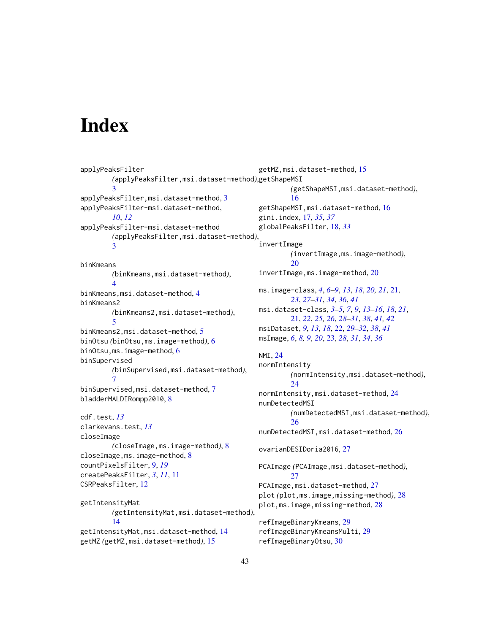# <span id="page-42-0"></span>**Index**

```
applyPeaksFilter
        (applyPeaksFilter,msi.dataset-method),
getShapeMSI
        3
applyPeaksFilter,msi.dataset-method, 3
applyPeaksFilter-msi.dataset-method,
        10, 12
applyPeaksFilter-msi.dataset-method
        (applyPeaksFilter,msi.dataset-method),
        3
binKmeans
        (binKmeans,msi.dataset-method),
        4
binKmeans,msi.dataset-method, 4
binKmeans2
        (binKmeans2,msi.dataset-method),
        5
binKmeans2,msi.dataset-method, 5
binOtsu (binOtsu,ms.image-method), 6
binOtsu,ms.image-method, 6
binSupervised
        (binSupervised,msi.dataset-method),
        \mathcal{I}binSupervised,msi.dataset-method, 7
bladderMALDIRompp2010, 8
cdf.test, 13
clarkevans.test, 13
closeImage
        (closeImage,ms.image-method), 8
closeImage,ms.image-method, 8
countPixelsFilter, 9, 19
createPeaksFilter, 3, 11, 11
CSRPeaksFilter, 12
getIntensityMat
        (getIntensityMat,msi.dataset-method),
        14
getIntensityMat,msi.dataset-method, 14
getMZ (getMZ,msi.dataset-method), 15
                                               getMZ,msi.dataset-method, 15
                                                        (getShapeMSI,msi.dataset-method),
                                                        16
                                               getShapeMSI,msi.dataset-method, 16
                                               gini.index, 17, 35, 37
                                               globalPeaksFilter, 18, 33
                                                invertImage
                                                        (invertImage,ms.image-method),
                                                        20
                                                invertImage,ms.image-method, 20
                                               ms.image-class, 4, 6–9, 13, 18, 20, 21, 21,
                                                        23, 27–31, 34, 36, 41
                                               msi.dataset-class, 3–5, 7, 9, 13–16, 18, 21,
                                                        21, 22, 25, 26, 28–31, 38, 41, 42
                                               msiDataset, 9, 13, 18, 22, 29–32, 38, 41
                                               msImage, 6, 8, 9, 20, 23, 28, 31, 34, 36
                                               NMI, 24
                                               normIntensity
                                                        (normIntensity,msi.dataset-method),
                                                        24
                                               normIntensity,msi.dataset-method, 24
                                               numDetectedMSI
                                                        (numDetectedMSI,msi.dataset-method),
                                                        26
                                               numDetectedMSI,msi.dataset-method, 26
                                               ovarianDESIDoria2016, 27
                                               PCAImage (PCAImage,msi.dataset-method),
                                                        27
                                               PCAImage,msi.dataset-method, 27
                                               plot (plot,ms.image,missing-method), 28
                                               28
                                               refImageBinaryKmeans, 29
                                               refImageBinaryKmeansMulti, 29
                                               refImageBinaryOtsu, 30
```